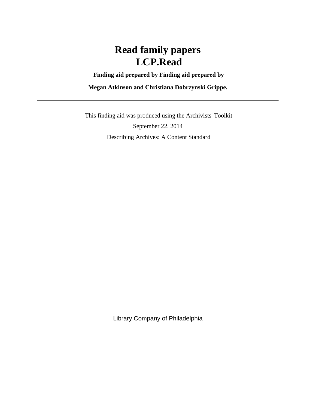**Finding aid prepared by Finding aid prepared by**

**Megan Atkinson and Christiana Dobrzynski Grippe.**

 This finding aid was produced using the Archivists' Toolkit September 22, 2014 Describing Archives: A Content Standard

Library Company of Philadelphia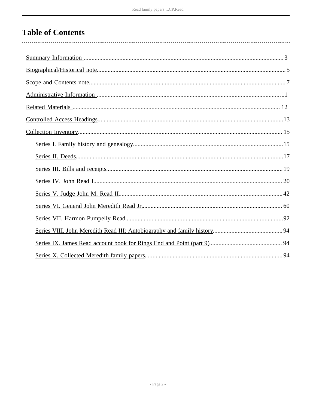# **Table of Contents**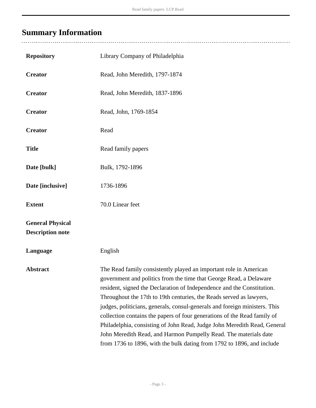# <span id="page-2-0"></span>**Summary Information**

| <b>Repository</b>                                  | Library Company of Philadelphia                                                                                                                                                                                                                                                                                                                                                                                                                                                                                                                                                                                                                                              |
|----------------------------------------------------|------------------------------------------------------------------------------------------------------------------------------------------------------------------------------------------------------------------------------------------------------------------------------------------------------------------------------------------------------------------------------------------------------------------------------------------------------------------------------------------------------------------------------------------------------------------------------------------------------------------------------------------------------------------------------|
| <b>Creator</b>                                     | Read, John Meredith, 1797-1874                                                                                                                                                                                                                                                                                                                                                                                                                                                                                                                                                                                                                                               |
| <b>Creator</b>                                     | Read, John Meredith, 1837-1896                                                                                                                                                                                                                                                                                                                                                                                                                                                                                                                                                                                                                                               |
| <b>Creator</b>                                     | Read, John, 1769-1854                                                                                                                                                                                                                                                                                                                                                                                                                                                                                                                                                                                                                                                        |
| <b>Creator</b>                                     | Read                                                                                                                                                                                                                                                                                                                                                                                                                                                                                                                                                                                                                                                                         |
| <b>Title</b>                                       | Read family papers                                                                                                                                                                                                                                                                                                                                                                                                                                                                                                                                                                                                                                                           |
| Date [bulk]                                        | Bulk, 1792-1896                                                                                                                                                                                                                                                                                                                                                                                                                                                                                                                                                                                                                                                              |
| Date [inclusive]                                   | 1736-1896                                                                                                                                                                                                                                                                                                                                                                                                                                                                                                                                                                                                                                                                    |
| <b>Extent</b>                                      | 70.0 Linear feet                                                                                                                                                                                                                                                                                                                                                                                                                                                                                                                                                                                                                                                             |
| <b>General Physical</b><br><b>Description note</b> |                                                                                                                                                                                                                                                                                                                                                                                                                                                                                                                                                                                                                                                                              |
| Language                                           | English                                                                                                                                                                                                                                                                                                                                                                                                                                                                                                                                                                                                                                                                      |
| Abstract                                           | The Read family consistently played an important role in American<br>government and politics from the time that George Read, a Delaware<br>resident, signed the Declaration of Independence and the Constitution.<br>Throughout the 17th to 19th centuries, the Reads served as lawyers,<br>judges, politicians, generals, consul-generals and foreign ministers. This<br>collection contains the papers of four generations of the Read family of<br>Philadelphia, consisting of John Read, Judge John Meredith Read, General<br>John Meredith Read, and Harmon Pumpelly Read. The materials date<br>from 1736 to 1896, with the bulk dating from 1792 to 1896, and include |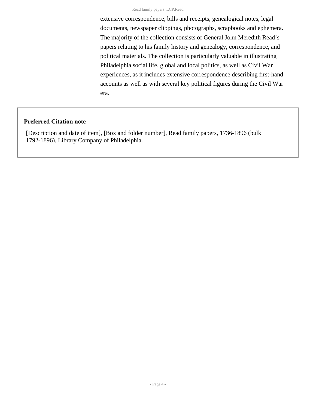extensive correspondence, bills and receipts, genealogical notes, legal documents, newspaper clippings, photographs, scrapbooks and ephemera. The majority of the collection consists of General John Meredith Read's papers relating to his family history and genealogy, correspondence, and political materials. The collection is particularly valuable in illustrating Philadelphia social life, global and local politics, as well as Civil War experiences, as it includes extensive correspondence describing first-hand accounts as well as with several key political figures during the Civil War era.

#### **Preferred Citation note**

[Description and date of item], [Box and folder number], Read family papers, 1736-1896 (bulk 1792-1896), Library Company of Philadelphia.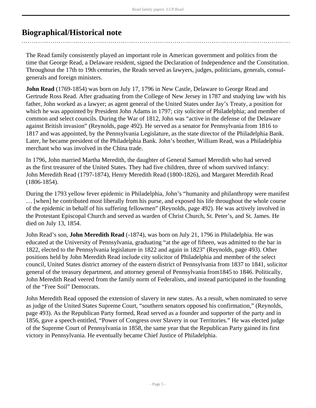## <span id="page-4-0"></span>**Biographical/Historical note**

The Read family consistently played an important role in American government and politics from the time that George Read, a Delaware resident, signed the Declaration of Independence and the Constitution. Throughout the 17th to 19th centuries, the Reads served as lawyers, judges, politicians, generals, consulgenerals and foreign ministers.

**John Read** (1769-1854) was born on July 17, 1796 in New Castle, Delaware to George Read and Gertrude Ross Read. After graduating from the College of New Jersey in 1787 and studying law with his father, John worked as a lawyer; as agent general of the United States under Jay's Treaty, a position for which he was appointed by President John Adams in 1797; city solicitor of Philadelphia; and member of common and select councils. During the War of 1812, John was "active in the defense of the Delaware against British invasion" (Reynolds, page 492). He served as a senator for Pennsylvania from 1816 to 1817 and was appointed, by the Pennsylvania Legislature, as the state director of the Philadelphia Bank. Later, he became president of the Philadelphia Bank. John's brother, William Read, was a Philadelphia merchant who was involved in the China trade.

In 1796, John married Martha Meredith, the daughter of General Samuel Meredith who had served as the first treasurer of the United States. They had five children, three of whom survived infancy: John Meredith Read (1797-1874), Henry Meredith Read (1800-1826), and Margaret Meredith Read (1806-1854).

During the 1793 yellow fever epidemic in Philadelphia, John's "humanity and philanthropy were manifest … [when] he contributed most liberally from his purse, and exposed his life throughout the whole course of the epidemic in behalf of his suffering fellowmen" (Reynolds, page 492). He was actively involved in the Protestant Episcopal Church and served as warden of Christ Church, St. Peter's, and St. James. He died on July 13, 1854.

John Read's son, **John Meredith Read** (-1874), was born on July 21, 1796 in Philadelphia. He was educated at the University of Pennsylvania, graduating "at the age of fifteen, was admitted to the bar in 1822, elected to the Pennsylvania legislature in 1822 and again in 1823" (Reynolds, page 493). Other positions held by John Meredith Read include city solicitor of Philadelphia and member of the select council, United States district attorney of the eastern district of Pennsylvania from 1837 to 1841, solicitor general of the treasury department, and attorney general of Pennsylvania from1845 to 1846. Politically, John Meredith Read veered from the family norm of Federalists, and instead participated in the founding of the "Free Soil" Democrats.

John Meredith Read opposed the extension of slavery in new states. As a result, when nominated to serve as judge of the United States Supreme Court, "southern senators opposed his confirmation," (Reynolds, page 493). As the Republican Party formed, Read served as a founder and supporter of the party and in 1856, gave a speech entitled, "Power of Congress over Slavery in our Territories." He was elected judge of the Supreme Court of Pennsylvania in 1858, the same year that the Republican Party gained its first victory in Pennsylvania. He eventually became Chief Justice of Philadelphia.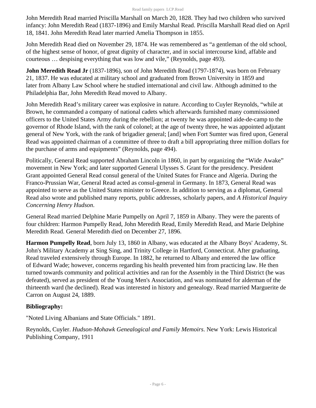John Meredith Read married Priscilla Marshall on March 20, 1828. They had two children who survived infancy: John Meredith Read (1837-1896) and Emily Marshal Read. Priscilla Marshall Read died on April 18, 1841. John Meredith Read later married Amelia Thompson in 1855.

John Meredith Read died on November 29, 1874. He was remembered as "a gentleman of the old school, of the highest sense of honor, of great dignity of character, and in social intercourse kind, affable and courteous … despising everything that was low and vile," (Reynolds, page 493).

**John Meredith Read Jr** (1837-1896), son of John Meredith Read (1797-1874), was born on February 21, 1837. He was educated at military school and graduated from Brown University in 1859 and later from Albany Law School where he studied international and civil law. Although admitted to the Philadelphia Bar, John Meredith Read moved to Albany.

John Meredith Read's military career was explosive in nature. According to Cuyler Reynolds, "while at Brown, he commanded a company of national cadets which afterwards furnished many commissioned officers to the United States Army during the rebellion; at twenty he was appointed aide-de-camp to the governor of Rhode Island, with the rank of colonel; at the age of twenty three, he was appointed adjutant general of New York, with the rank of brigadier general; [and] when Fort Sumter was fired upon, General Read was appointed chairman of a committee of three to draft a bill appropriating three million dollars for the purchase of arms and equipments" (Reynolds, page 494).

Politically, General Read supported Abraham Lincoln in 1860, in part by organizing the "Wide Awake" movement in New York; and later supported General Ulysses S. Grant for the presidency. President Grant appointed General Read consul general of the United States for France and Algeria. During the Franco-Prussian War, General Read acted as consul-general in Germany. In 1873, General Read was appointed to serve as the United States minister to Greece. In addition to serving as a diplomat, General Read also wrote and published many reports, public addresses, scholarly papers, and *A Historical Inquiry Concerning Henry Hudson*.

General Read married Delphine Marie Pumpelly on April 7, 1859 in Albany. They were the parents of four children: Harmon Pumpelly Read, John Meredith Read, Emily Meredith Read, and Marie Delphine Meredith Read. General Meredith died on December 27, 1896.

**Harmon Pumpelly Read**, born July 13, 1860 in Albany, was educated at the Albany Boys' Academy, St. John's Military Academy at Sing Sing, and Trinity College in Hartford, Connecticut. After graduating, Read traveled extensively through Europe. In 1882, he returned to Albany and entered the law office of Edward Wade; however, concerns regarding his health prevented him from practicing law. He then turned towards community and political activities and ran for the Assembly in the Third District (he was defeated), served as president of the Young Men's Association, and was nominated for alderman of the thirteenth ward (he declined). Read was interested in history and genealogy. Read married Marguerite de Carron on August 24, 1889.

### **Bibliography:**

"Noted Living Albanians and State Officials." 1891.

Reynolds, Cuyler. *Hudson-Mohawk Genealogical and Family Memoirs*. New York: Lewis Historical Publishing Company, 1911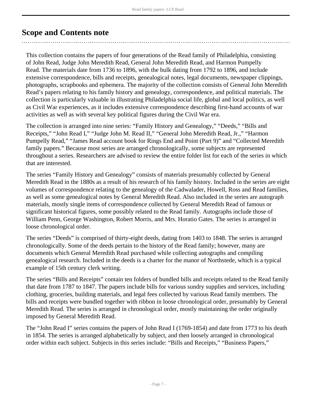## <span id="page-6-0"></span>**Scope and Contents note**

This collection contains the papers of four generations of the Read family of Philadelphia, consisting of John Read, Judge John Meredith Read, General John Meredith Read, and Harmon Pumpelly Read. The materials date from 1736 to 1896, with the bulk dating from 1792 to 1896, and include extensive correspondence, bills and receipts, genealogical notes, legal documents, newspaper clippings, photographs, scrapbooks and ephemera. The majority of the collection consists of General John Meredith Read's papers relating to his family history and genealogy, correspondence, and political materials. The collection is particularly valuable in illustrating Philadelphia social life, global and local politics, as well as Civil War experiences, as it includes extensive correspondence describing first-hand accounts of war activities as well as with several key political figures during the Civil War era.

The collection is arranged into nine series: "Family History and Genealogy," "Deeds," "Bills and Receipts," "John Read I," "Judge John M. Read II," "General John Meredith Read, Jr.," "Harmon Pumpelly Read," "James Read account book for Rings End and Point (Part 9)" and "Collected Meredith family papers." Because most series are arranged chronologically, some subjects are represented throughout a series. Researchers are advised to review the entire folder list for each of the series in which that are interested.

The series "Family History and Genealogy" consists of materials presumably collected by General Meredith Read in the 1880s as a result of his research of his family history. Included in the series are eight volumes of correspondence relating to the genealogy of the Cadwalader, Howell, Ross and Read families, as well as some genealogical notes by General Meredith Read. Also included in the series are autograph materials, mostly single items of correspondence collected by General Meredith Read of famous or significant historical figures, some possibly related to the Read family. Autographs include those of William Penn, George Washington, Robert Morris, and Mrs. Horatio Gates. The series is arranged in loose chronological order.

The series "Deeds" is comprised of thirty-eight deeds, dating from 1403 to 1848. The series is arranged chronologically. Some of the deeds pertain to the history of the Read family; however, many are documents which General Meredith Read purchased while collecting autographs and compiling genealogical research. Included in the deeds is a charter for the manor of Northstede, which is a typical example of 15th century clerk writing.

The series "Bills and Receipts" contain ten folders of bundled bills and receipts related to the Read family that date from 1787 to 1847. The papers include bills for various sundry supplies and services, including clothing, groceries, building materials, and legal fees collected by various Read family members. The bills and receipts were bundled together with ribbon in loose chronological order, presumably by General Meredith Read. The series is arranged in chronological order, mostly maintaining the order originally imposed by General Meredith Read.

The "John Read I" series contains the papers of John Read I (1769-1854) and date from 1773 to his death in 1854. The series is arranged alphabetically by subject, and then loosely arranged in chronological order within each subject. Subjects in this series include: "Bills and Receipts," "Business Papers,"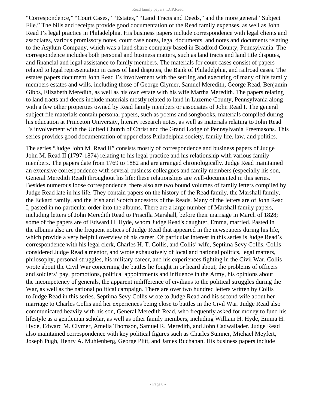"Correspondence," "Court Cases," "Estates," "Land Tracts and Deeds," and the more general "Subject File." The bills and receipts provide good documentation of the Read family expenses, as well as John Read I's legal practice in Philadelphia. His business papers include correspondence with legal clients and associates, various promissory notes, court case notes, legal documents, and notes and documents relating to the Asylum Company, which was a land share company based in Bradford County, Pennsylvania. The correspondence includes both personal and business matters, such as land tracts and land title disputes, and financial and legal assistance to family members. The materials for court cases consist of papers related to legal representation in cases of land disputes, the Bank of Philadelphia, and railroad cases. The estates papers document John Read I's involvement with the settling and executing of many of his family members estates and wills, including those of George Clymer, Samuel Meredith, George Read, Benjamin Gibbs, Elizabeth Meredith, as well as his own estate with his wife Martha Meredith. The papers relating to land tracts and deeds include materials mostly related to land in Luzerne County, Pennsylvania along with a few other properties owned by Read family members or associates of John Read I. The general subject file materials contain personal papers, such as poems and songbooks, materials compiled during his education at Princeton University, literary research notes, as well as materials relating to John Read I's involvement with the United Church of Christ and the Grand Lodge of Pennsylvania Freemasons. This series provides good documentation of upper class Philadelphia society, family life, law, and politics.

The series "Judge John M. Read II" consists mostly of correspondence and business papers of Judge John M. Read II (1797-1874) relating to his legal practice and his relationship with various family members. The papers date from 1769 to 1882 and are arranged chronologically. Judge Read maintained an extensive correspondence with several business colleagues and family members (especially his son, General Meredith Read) throughout his life; these relationships are well-documented in this series. Besides numerous loose correspondence, there also are two bound volumes of family letters compiled by Judge Read late in his life. They contain papers on the history of the Read family, the Marshall family, the Eckard family, and the Irish and Scotch ancestors of the Reads. Many of the letters are of John Read I, pasted in no particular order into the albums. There are a large number of Marshall family papers, including letters of John Meredith Read to Priscilla Marshall, before their marriage in March of 1828; some of the papers are of Edward H. Hyde, whom Judge Read's daughter, Emma, married. Pasted in the albums also are the frequent notices of Judge Read that appeared in the newspapers during his life, which provide a very helpful overview of his career. Of particular interest in this series is Judge Read's correspondence with his legal clerk, Charles H. T. Collis, and Collis' wife, Septima Sevy Collis. Collis considered Judge Read a mentor, and wrote exhaustively of local and national politics, legal matters, philosophy, personal struggles, his military career, and his experiences fighting in the Civil War. Collis wrote about the Civil War concerning the battles he fought in or heard about, the problems of officers' and soldiers' pay, promotions, political appointments and influence in the Army, his opinions about the incompetency of generals, the apparent indifference of civilians to the political struggles during the War, as well as the national political campaign. There are over two hundred letters written by Collis to Judge Read in this series. Septima Sevy Collis wrote to Judge Read and his second wife about her marriage to Charles Collis and her experiences being close to battles in the Civil War. Judge Read also communicated heavily with his son, General Meredith Read, who frequently asked for money to fund his lifestyle as a gentleman scholar, as well as other family members, including William H. Hyde, Emma H. Hyde, Edward M. Clymer, Amelia Thomson, Samuel R. Meredith, and John Cadwallader. Judge Read also maintained correspondence with key political figures such as Charles Sumner, Michael Meyfert, Joseph Pugh, Henry A. Muhlenberg, George Plitt, and James Buchanan. His business papers include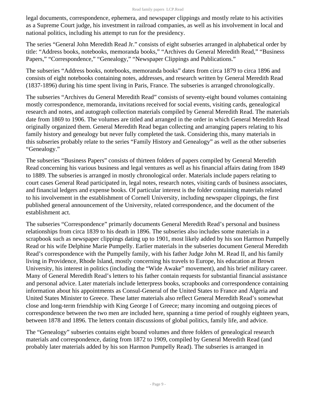legal documents, correspondence, ephemera, and newspaper clippings and mostly relate to his activities as a Supreme Court judge, his investment in railroad companies, as well as his involvement in local and national politics, including his attempt to run for the presidency.

The series "General John Meredith Read Jr." consists of eight subseries arranged in alphabetical order by title: "Address books, notebooks, memoranda books," "Archives du General Meredith Read," "Business Papers," "Correspondence," "Genealogy," "Newspaper Clippings and Publications."

The subseries "Address books, notebooks, memoranda books" dates from circa 1879 to circa 1896 and consists of eight notebooks containing notes, addresses, and research written by General Meredith Read (1837-1896) during his time spent living in Paris, France. The subseries is arranged chronologically.

The subseries "Archives du General Meredith Read" consists of seventy-eight bound volumes containing mostly correspondence, memoranda, invitations received for social events, visiting cards, genealogical research and notes, and autograph collection materials compiled by General Meredith Read. The materials date from 1869 to 1906. The volumes are titled and arranged in the order in which General Meredith Read originally organized them. General Meredith Read began collecting and arranging papers relating to his family history and genealogy but never fully completed the task. Considering this, many materials in this subseries probably relate to the series "Family History and Genealogy" as well as the other subseries "Genealogy."

The subseries "Business Papers" consists of thirteen folders of papers compiled by General Meredith Read concerning his various business and legal ventures as well as his financial affairs dating from 1849 to 1889. The subseries is arranged in mostly chronological order. Materials include papers relating to court cases General Read participated in, legal notes, research notes, visiting cards of business associates, and financial ledgers and expense books. Of particular interest is the folder containing materials related to his involvement in the establishment of Cornell University, including newspaper clippings, the first published general announcement of the University, related correspondence, and the document of the establishment act.

The subseries "Correspondence" primarily documents General Meredith Read's personal and business relationships from circa 1839 to his death in 1896. The subseries also includes some materials in a scrapbook such as newspaper clippings dating up to 1901, most likely added by his son Harmon Pumpelly Read or his wife Delphine Marie Pumpelly. Earlier materials in the subseries document General Meredith Read's correspondence with the Pumpelly family, with his father Judge John M. Read II, and his family living in Providence, Rhode Island, mostly concerning his travels to Europe, his education at Brown University, his interest in politics (including the "Wide Awake" movement), and his brief military career. Many of General Meredith Read's letters to his father contain requests for substantial financial assistance and personal advice. Later materials include letterpress books, scrapbooks and correspondence containing information about his appointments as Consul-General of the United States to France and Algeria and United States Minister to Greece. These latter materials also reflect General Meredith Read's somewhat close and long-term friendship with King George I of Greece; many incoming and outgoing pieces of correspondence between the two men are included here, spanning a time period of roughly eighteen years, between 1878 and 1896. The letters contain discussions of global politics, family life, and advice.

The "Genealogy" subseries contains eight bound volumes and three folders of genealogical research materials and correspondence, dating from 1872 to 1909, compiled by General Meredith Read (and probably later materials added by his son Harmon Pumpelly Read). The subseries is arranged in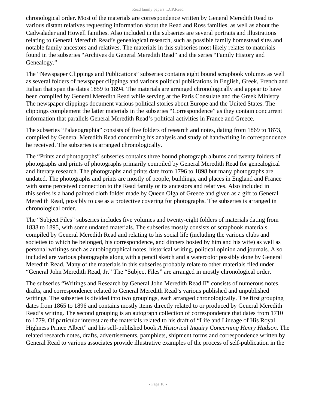chronological order. Most of the materials are correspondence written by General Meredith Read to various distant relatives requesting information about the Read and Ross families, as well as about the Cadwalader and Howell families. Also included in the subseries are several portraits and illustrations relating to General Meredith Read's genealogical research, such as possible family homestead sites and notable family ancestors and relatives. The materials in this subseries most likely relates to materials found in the subseries "Archives du General Meredith Read" and the series "Family History and Genealogy."

The "Newspaper Clippings and Publications" subseries contains eight bound scrapbook volumes as well as several folders of newspaper clippings and various political publications in English, Greek, French and Italian that span the dates 1859 to 1894. The materials are arranged chronologically and appear to have been compiled by General Meredith Read while serving at the Paris Consulate and the Greek Ministry. The newspaper clippings document various political stories about Europe and the United States. The clippings complement the latter materials in the subseries "Correspondence" as they contain concurrent information that parallels General Meredith Read's political activities in France and Greece.

The subseries "Palaeographia" consists of five folders of research and notes, dating from 1869 to 1873, compiled by General Meredith Read concerning his analysis and study of handwriting in correspondence he received. The subseries is arranged chronologically.

The "Prints and photographs" subseries contains three bound photograph albums and twenty folders of photographs and prints of photographs primarily compiled by General Meredith Read for genealogical and literary research. The photographs and prints date from 1796 to 1898 but many photographs are undated. The photographs and prints are mostly of people, buildings, and places in England and France with some perceived connection to the Read family or its ancestors and relatives. Also included in this series is a hand painted cloth folder made by Queen Olga of Greece and given as a gift to General Meredith Read, possibly to use as a protective covering for photographs. The subseries is arranged in chronological order.

The "Subject Files" subseries includes five volumes and twenty-eight folders of materials dating from 1838 to 1895, with some undated materials. The subseries mostly consists of scrapbook materials compiled by General Meredith Read and relating to his social life (including the various clubs and societies to which he belonged, his correspondence, and dinners hosted by him and his wife) as well as personal writings such as autobiographical notes, historical writing, political opinion and journals. Also included are various photographs along with a pencil sketch and a watercolor possibly done by General Meredith Read. Many of the materials in this subseries probably relate to other materials filed under "General John Meredith Read, Jr." The "Subject Files" are arranged in mostly chronological order.

The subseries "Writings and Research by General John Meredith Read II" consists of numerous notes, drafts, and correspondence related to General Meredith Read's various published and unpublished writings. The subseries is divided into two groupings, each arranged chronologically. The first grouping dates from 1865 to 1896 and contains mostly items directly related to or produced by General Meredith Read's writing. The second grouping is an autograph collection of correspondence that dates from 1710 to 1779. Of particular interest are the materials related to his draft of "Life and Lineage of His Royal Highness Prince Albert" and his self-published book *A Historical Inquiry Concerning Henry Hudson*. The related research notes, drafts, advertisements, pamphlets, shipment forms and correspondence written by General Read to various associates provide illustrative examples of the process of self-publication in the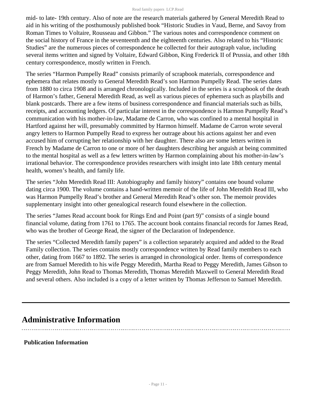mid- to late- 19th century. Also of note are the research materials gathered by General Meredith Read to aid in his writing of the posthumously published book "Historic Studies in Vaud, Berne, and Savoy from Roman Times to Voltaire, Rousseau and Gibbon." The various notes and correspondence comment on the social history of France in the seventeenth and the eighteenth centuries. Also related to his "Historic Studies" are the numerous pieces of correspondence he collected for their autograph value, including several items written and signed by Voltaire, Edward Gibbon, King Frederick II of Prussia, and other 18th century correspondence, mostly written in French.

The series "Harmon Pumpelly Read" consists primarily of scrapbook materials, correspondence and ephemera that relates mostly to General Meredith Read's son Harmon Pumpelly Read. The series dates from 1880 to circa 1908 and is arranged chronologically. Included in the series is a scrapbook of the death of Harmon's father, General Meredith Read, as well as various pieces of ephemera such as playbills and blank postcards. There are a few items of business correspondence and financial materials such as bills, receipts, and accounting ledgers. Of particular interest in the correspondence is Harmon Pumpelly Read's communication with his mother-in-law, Madame de Carron, who was confined to a mental hospital in Hartford against her will, presumably committed by Harmon himself. Madame de Carron wrote several angry letters to Harmon Pumpelly Read to express her outrage about his actions against her and even accused him of corrupting her relationship with her daughter. There also are some letters written in French by Madame de Carron to one or more of her daughters describing her anguish at being committed to the mental hospital as well as a few letters written by Harmon complaining about his mother-in-law's irrational behavior. The correspondence provides researchers with insight into late 18th century mental health, women's health, and family life.

The series "John Meredith Read III: Autobiography and family history" contains one bound volume dating circa 1900. The volume contains a hand-written memoir of the life of John Meredith Read III, who was Harmon Pumpelly Read's brother and General Meredith Read's other son. The memoir provides supplementary insight into other genealogical research found elsewhere in the collection.

The series "James Read account book for Rings End and Point (part 9)" consists of a single bound financial volume, dating from 1761 to 1765. The account book contains financial records for James Read, who was the brother of George Read, the signer of the Declaration of Independence.

The series "Collected Meredith family papers" is a collection separately acquired and added to the Read Family collection. The series contains mostly correspondence written by Read family members to each other, dating from 1667 to 1892. The series is arranged in chronological order. Items of correspondence are from Samuel Meredith to his wife Peggy Meredith, Martha Read to Peggy Meredith, James Gibson to Peggy Meredith, John Read to Thomas Meredith, Thomas Meredith Maxwell to General Meredith Read and several others. Also included is a copy of a letter written by Thomas Jefferson to Samuel Meredith.

## <span id="page-10-0"></span>**Administrative Information**

### **Publication Information**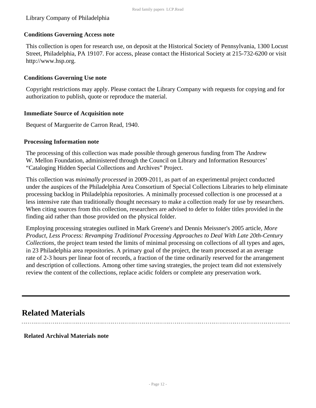#### Library Company of Philadelphia

#### **Conditions Governing Access note**

This collection is open for research use, on deposit at the Historical Society of Pennsylvania, 1300 Locust Street, Philadelphia, PA 19107. For access, please contact the Historical Society at 215-732-6200 or visit http://www.hsp.org.

#### **Conditions Governing Use note**

Copyright restrictions may apply. Please contact the Library Company with requests for copying and for authorization to publish, quote or reproduce the material.

#### **Immediate Source of Acquisition note**

Bequest of Marguerite de Carron Read, 1940.

#### **Processing Information note**

The processing of this collection was made possible through generous funding from The Andrew W. Mellon Foundation, administered through the Council on Library and Information Resources' "Cataloging Hidden Special Collections and Archives" Project.

This collection was *minimally processed* in 2009-2011, as part of an experimental project conducted under the auspices of the Philadelphia Area Consortium of Special Collections Libraries to help eliminate processing backlog in Philadelphia repositories. A minimally processed collection is one processed at a less intensive rate than traditionally thought necessary to make a collection ready for use by researchers. When citing sources from this collection, researchers are advised to defer to folder titles provided in the finding aid rather than those provided on the physical folder.

Employing processing strategies outlined in Mark Greene's and Dennis Meissner's 2005 article, *More Product, Less Process: Revamping Traditional Processing Approaches to Deal With Late 20th-Century Collections*, the project team tested the limits of minimal processing on collections of all types and ages, in 23 Philadelphia area repositories. A primary goal of the project, the team processed at an average rate of 2-3 hours per linear foot of records, a fraction of the time ordinarily reserved for the arrangement and description of collections. Among other time saving strategies, the project team did not extensively review the content of the collections, replace acidic folders or complete any preservation work.

### <span id="page-11-0"></span>**Related Materials**

**Related Archival Materials note**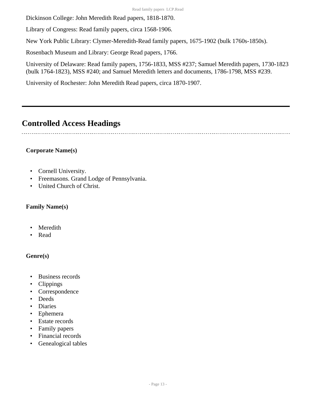Dickinson College: John Meredith Read papers, 1818-1870.

Library of Congress: Read family papers, circa 1568-1906.

New York Public Library: Clymer-Meredith-Read family papers, 1675-1902 (bulk 1760s-1850s).

Rosenbach Museum and Library: George Read papers, 1766.

University of Delaware: Read family papers, 1756-1833, MSS #237; Samuel Meredith papers, 1730-1823 (bulk 1764-1823), MSS #240; and Samuel Meredith letters and documents, 1786-1798, MSS #239.

University of Rochester: John Meredith Read papers, circa 1870-1907.

## <span id="page-12-0"></span>**Controlled Access Headings**

### **Corporate Name(s)**

- Cornell University.
- Freemasons. Grand Lodge of Pennsylvania.
- United Church of Christ.

#### **Family Name(s)**

- Meredith
- Read

### **Genre(s)**

- Business records
- Clippings
- Correspondence
- Deeds
- Diaries
- Ephemera
- Estate records
- Family papers
- Financial records
- Genealogical tables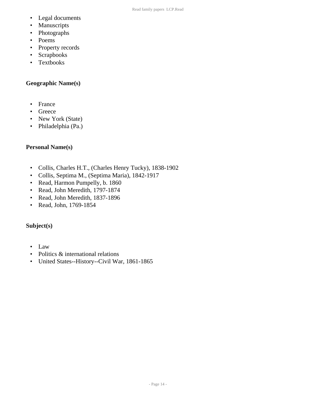- Legal documents
- Manuscripts
- Photographs
- Poems
- Property records
- Scrapbooks
- Textbooks

#### **Geographic Name(s)**

- France
- Greece
- New York (State)
- Philadelphia (Pa.)

#### **Personal Name(s)**

- Collis, Charles H.T., (Charles Henry Tucky), 1838-1902
- Collis, Septima M., (Septima Maria), 1842-1917
- Read, Harmon Pumpelly, b. 1860
- Read, John Meredith, 1797-1874
- Read, John Meredith, 1837-1896
- Read, John, 1769-1854

#### **Subject(s)**

- Law
- Politics & international relations
- United States--History--Civil War, 1861-1865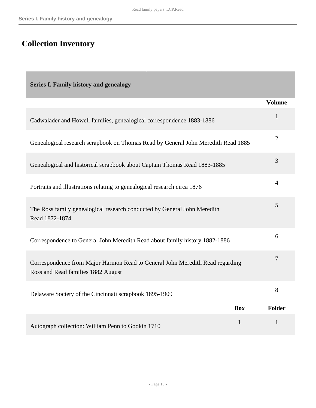# <span id="page-14-0"></span>**Collection Inventory**

Г

<span id="page-14-1"></span>

| <b>Series I. Family history and genealogy</b>                                                                       |                              |
|---------------------------------------------------------------------------------------------------------------------|------------------------------|
|                                                                                                                     | <b>Volume</b>                |
| Cadwalader and Howell families, genealogical correspondence 1883-1886                                               | $\mathbf{1}$                 |
| Genealogical research scrapbook on Thomas Read by General John Meredith Read 1885                                   | $\overline{2}$               |
| Genealogical and historical scrapbook about Captain Thomas Read 1883-1885                                           | 3                            |
| Portraits and illustrations relating to genealogical research circa 1876                                            | $\overline{4}$               |
| The Ross family genealogical research conducted by General John Meredith<br>Read 1872-1874                          | 5                            |
| Correspondence to General John Meredith Read about family history 1882-1886                                         | 6                            |
| Correspondence from Major Harmon Read to General John Meredith Read regarding<br>Ross and Read families 1882 August | $\overline{7}$               |
| Delaware Society of the Cincinnati scrapbook 1895-1909                                                              | 8                            |
|                                                                                                                     | <b>Box</b><br>Folder         |
| Autograph collection: William Penn to Gookin 1710                                                                   | $\mathbf{1}$<br>$\mathbf{1}$ |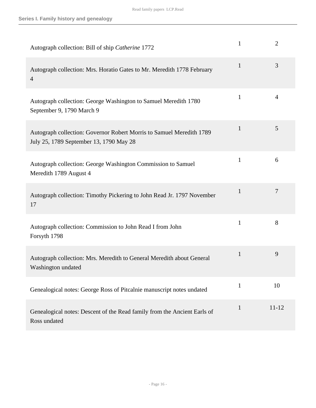| Autograph collection: Bill of ship Catherine 1772                                                               | $\mathbf{1}$ | $\overline{2}$ |
|-----------------------------------------------------------------------------------------------------------------|--------------|----------------|
| Autograph collection: Mrs. Horatio Gates to Mr. Meredith 1778 February<br>$\overline{4}$                        | $\mathbf{1}$ | 3              |
| Autograph collection: George Washington to Samuel Meredith 1780<br>September 9, 1790 March 9                    | 1            | 4              |
| Autograph collection: Governor Robert Morris to Samuel Meredith 1789<br>July 25, 1789 September 13, 1790 May 28 | 1            | 5              |
| Autograph collection: George Washington Commission to Samuel<br>Meredith 1789 August 4                          | 1            | 6              |
| Autograph collection: Timothy Pickering to John Read Jr. 1797 November<br>17                                    | 1            | 7              |
| Autograph collection: Commission to John Read I from John<br>Forsyth 1798                                       | $\mathbf{1}$ | 8              |
| Autograph collection: Mrs. Meredith to General Meredith about General<br>Washington undated                     | $\mathbf{1}$ | 9              |
| Genealogical notes: George Ross of Pitcalnie manuscript notes undated                                           | $\mathbf{1}$ | 10             |
| Genealogical notes: Descent of the Read family from the Ancient Earls of<br>Ross undated                        | $\mathbf{1}$ | $11 - 12$      |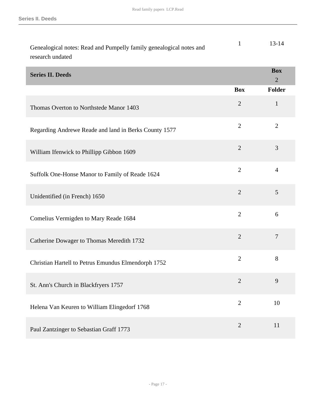<span id="page-16-0"></span>

| Genealogical notes: Read and Pumpelly family genealogical notes and<br>research undated | $\mathbf{1}$   | $13 - 14$                    |
|-----------------------------------------------------------------------------------------|----------------|------------------------------|
| <b>Series II. Deeds</b>                                                                 |                | <b>Box</b><br>$\overline{2}$ |
|                                                                                         | <b>Box</b>     | <b>Folder</b>                |
| Thomas Overton to Northstede Manor 1403                                                 | $\overline{2}$ | $\mathbf{1}$                 |
| Regarding Andrewe Reade and land in Berks County 1577                                   | $\overline{2}$ | $\overline{2}$               |
| William Ifenwick to Phillipp Gibbon 1609                                                | $\overline{2}$ | 3                            |
| Suffolk One-Honse Manor to Family of Reade 1624                                         | $\overline{2}$ | $\overline{4}$               |
| Unidentified (in French) 1650                                                           | $\overline{2}$ | 5                            |
| Comelius Vermigden to Mary Reade 1684                                                   | $\overline{2}$ | 6                            |
| Catherine Dowager to Thomas Meredith 1732                                               | $\mathfrak{2}$ | $\overline{7}$               |
| Christian Hartell to Petrus Emundus Elmendorph 1752                                     | $\overline{2}$ | 8                            |
| St. Ann's Church in Blackfryers 1757                                                    | $\overline{2}$ | 9                            |
| Helena Van Keuren to William Elingedorf 1768                                            | $\mathbf{2}$   | 10                           |
| Paul Zantzinger to Sebastian Graff 1773                                                 | $\mathfrak{2}$ | 11                           |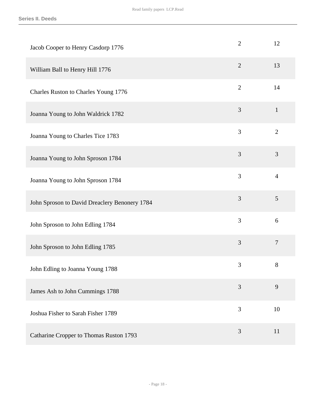| Jacob Cooper to Henry Casdorp 1776            | $\overline{2}$ | 12             |
|-----------------------------------------------|----------------|----------------|
| William Ball to Henry Hill 1776               | $\mathbf{2}$   | 13             |
| Charles Ruston to Charles Young 1776          | $\overline{2}$ | 14             |
| Joanna Young to John Waldrick 1782            | 3              | $\mathbf{1}$   |
| Joanna Young to Charles Tice 1783             | 3              | $\overline{2}$ |
| Joanna Young to John Sproson 1784             | 3              | 3              |
| Joanna Young to John Sproson 1784             | $\overline{3}$ | $\overline{4}$ |
| John Sproson to David Dreaclery Benonery 1784 | 3              | 5              |
| John Sproson to John Edling 1784              | 3              | 6              |
| John Sproson to John Edling 1785              | 3              | $\overline{7}$ |
| John Edling to Joanna Young 1788              | 3              | 8              |
| James Ash to John Cummings 1788               | 3              | 9              |
| Joshua Fisher to Sarah Fisher 1789            | $\overline{3}$ | 10             |
| Catharine Cropper to Thomas Ruston 1793       | 3              | 11             |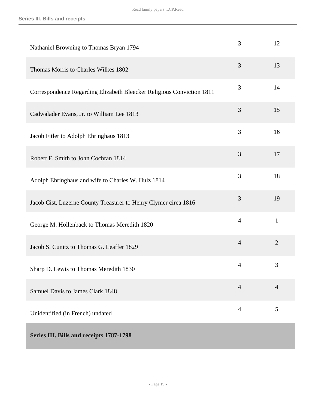<span id="page-18-0"></span>

| Nathaniel Browning to Thomas Bryan 1794                               | 3              | 12             |
|-----------------------------------------------------------------------|----------------|----------------|
| Thomas Morris to Charles Wilkes 1802                                  | 3              | 13             |
| Correspondence Regarding Elizabeth Bleecker Religious Conviction 1811 | 3              | 14             |
| Cadwalader Evans, Jr. to William Lee 1813                             | 3              | 15             |
| Jacob Fitler to Adolph Ehringhaus 1813                                | 3              | 16             |
| Robert F. Smith to John Cochran 1814                                  | 3              | 17             |
| Adolph Ehringhaus and wife to Charles W. Hulz 1814                    | 3              | 18             |
| Jacob Cist, Luzerne County Treasurer to Henry Clymer circa 1816       | 3              | 19             |
| George M. Hollenback to Thomas Meredith 1820                          | $\overline{4}$ | $\mathbf{1}$   |
| Jacob S. Cunitz to Thomas G. Leaffer 1829                             | $\overline{4}$ | $\overline{2}$ |
| Sharp D. Lewis to Thomas Meredith 1830                                | 4              | 3              |
| Samuel Davis to James Clark 1848                                      | $\overline{4}$ | $\overline{4}$ |
| Unidentified (in French) undated                                      | $\overline{4}$ | 5              |
| Series III. Bills and receipts 1787-1798                              |                |                |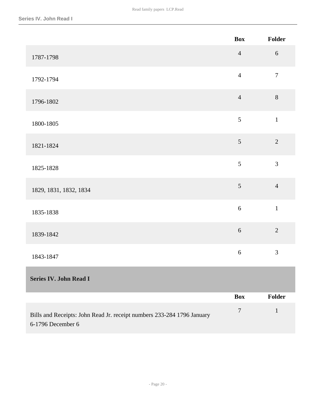<span id="page-19-0"></span>

|                                                                                             | <b>Box</b>     | Folder         |
|---------------------------------------------------------------------------------------------|----------------|----------------|
| 1787-1798                                                                                   | $\overline{4}$ | $6\,$          |
| 1792-1794                                                                                   | $\overline{4}$ | $\overline{7}$ |
| 1796-1802                                                                                   | $\overline{4}$ | 8              |
| 1800-1805                                                                                   | 5              | $\mathbf{1}$   |
| 1821-1824                                                                                   | 5              | $\overline{2}$ |
| 1825-1828                                                                                   | 5              | 3              |
| 1829, 1831, 1832, 1834                                                                      | 5              | $\overline{4}$ |
| 1835-1838                                                                                   | 6              | $\mathbf{1}$   |
| 1839-1842                                                                                   | $6\,$          | $\overline{2}$ |
| 1843-1847                                                                                   | $\sqrt{6}$     | 3              |
| <b>Series IV. John Read I</b>                                                               |                |                |
|                                                                                             | <b>Box</b>     | Folder         |
| Bills and Receipts: John Read Jr. receipt numbers 233-284 1796 January<br>6-1796 December 6 | $\overline{7}$ | $\mathbf 1$    |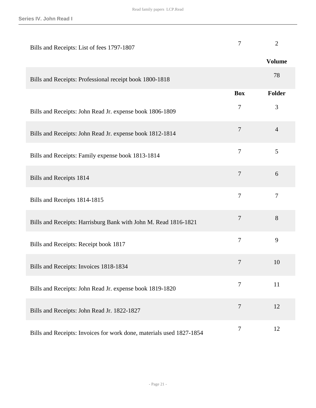| Bills and Receipts: List of fees 1797-1807                           | 7                | $\overline{2}$ |
|----------------------------------------------------------------------|------------------|----------------|
|                                                                      |                  | <b>Volume</b>  |
| Bills and Receipts: Professional receipt book 1800-1818              |                  | 78             |
|                                                                      | <b>Box</b>       | <b>Folder</b>  |
| Bills and Receipts: John Read Jr. expense book 1806-1809             | $\tau$           | 3              |
| Bills and Receipts: John Read Jr. expense book 1812-1814             | $\tau$           | $\overline{4}$ |
| Bills and Receipts: Family expense book 1813-1814                    | $\overline{7}$   | 5              |
| <b>Bills and Receipts 1814</b>                                       | $\tau$           | 6              |
| Bills and Receipts 1814-1815                                         | $\overline{7}$   | $\tau$         |
| Bills and Receipts: Harrisburg Bank with John M. Read 1816-1821      | $\tau$           | $8\,$          |
| Bills and Receipts: Receipt book 1817                                | $\overline{7}$   | 9              |
| Bills and Receipts: Invoices 1818-1834                               | $\overline{7}$   | 10             |
| Bills and Receipts: John Read Jr. expense book 1819-1820             | $\tau$           | 11             |
| Bills and Receipts: John Read Jr. 1822-1827                          | $\overline{7}$   | 12             |
| Bills and Receipts: Invoices for work done, materials used 1827-1854 | $\boldsymbol{7}$ | 12             |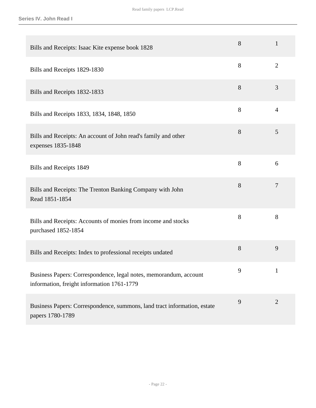| Bills and Receipts: Isaac Kite expense book 1828                                                                | 8 | $\mathbf{1}$   |
|-----------------------------------------------------------------------------------------------------------------|---|----------------|
| Bills and Receipts 1829-1830                                                                                    | 8 | $\overline{2}$ |
| Bills and Receipts 1832-1833                                                                                    | 8 | 3              |
| Bills and Receipts 1833, 1834, 1848, 1850                                                                       | 8 | $\overline{4}$ |
| Bills and Receipts: An account of John read's family and other<br>expenses 1835-1848                            | 8 | 5              |
| Bills and Receipts 1849                                                                                         | 8 | 6              |
| Bills and Receipts: The Trenton Banking Company with John<br>Read 1851-1854                                     | 8 | 7              |
| Bills and Receipts: Accounts of monies from income and stocks<br>purchased 1852-1854                            | 8 | 8              |
| Bills and Receipts: Index to professional receipts undated                                                      | 8 | 9              |
| Business Papers: Correspondence, legal notes, memorandum, account<br>information, freight information 1761-1779 | 9 | $\mathbf{1}$   |
| Business Papers: Correspondence, summons, land tract information, estate<br>papers 1780-1789                    | 9 | $\overline{2}$ |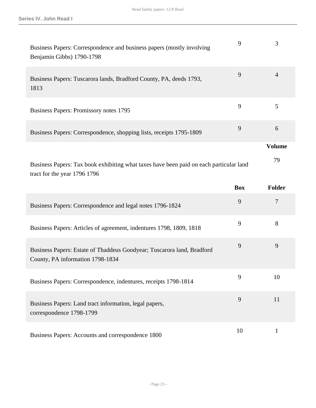| Business Papers: Correspondence and business papers (mostly involving<br>Benjamin Gibbs) 1790-1798                     | 9          | 3              |
|------------------------------------------------------------------------------------------------------------------------|------------|----------------|
| Business Papers: Tuscarora lands, Bradford County, PA, deeds 1793,<br>1813                                             | 9          | $\overline{4}$ |
| Business Papers: Promissory notes 1795                                                                                 | 9          | 5              |
| Business Papers: Correspondence, shopping lists, receipts 1795-1809                                                    | 9          | 6              |
|                                                                                                                        |            | <b>Volume</b>  |
| Business Papers: Tax book exhibiting what taxes have been paid on each particular land<br>tract for the year 1796 1796 |            | 79             |
|                                                                                                                        |            |                |
|                                                                                                                        | <b>Box</b> | Folder         |
| Business Papers: Correspondence and legal notes 1796-1824                                                              | 9          | 7              |
| Business Papers: Articles of agreement, indentures 1798, 1809, 1818                                                    | 9          | 8              |
| Business Papers: Estate of Thaddeus Goodyear; Tuscarora land, Bradford<br>County, PA information 1798-1834             | 9          | 9              |
| Business Papers: Correspondence, indentures, receipts 1798-1814                                                        | 9          | 10             |
| Business Papers: Land tract information, legal papers,<br>correspondence 1798-1799                                     | 9          | 11             |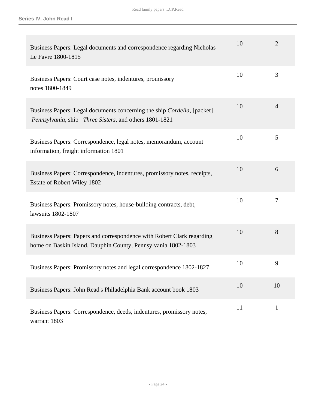| Business Papers: Legal documents and correspondence regarding Nicholas<br>Le Favre 1800-1815                                              | 10 | $\overline{2}$ |
|-------------------------------------------------------------------------------------------------------------------------------------------|----|----------------|
| Business Papers: Court case notes, indentures, promissory<br>notes 1800-1849                                                              | 10 | 3              |
| Business Papers: Legal documents concerning the ship <i>Cordelia</i> , [packet]<br>Pennsylvania, ship Three Sisters, and others 1801-1821 | 10 | 4              |
| Business Papers: Correspondence, legal notes, memorandum, account<br>information, freight information 1801                                | 10 | 5              |
| Business Papers: Correspondence, indentures, promissory notes, receipts,<br>Estate of Robert Wiley 1802                                   | 10 | 6              |
| Business Papers: Promissory notes, house-building contracts, debt,<br>lawsuits 1802-1807                                                  | 10 | 7              |
| Business Papers: Papers and correspondence with Robert Clark regarding<br>home on Baskin Island, Dauphin County, Pennsylvania 1802-1803   | 10 | 8              |
| Business Papers: Promissory notes and legal correspondence 1802-1827                                                                      | 10 | 9              |
| Business Papers: John Read's Philadelphia Bank account book 1803                                                                          | 10 | 10             |
| Business Papers: Correspondence, deeds, indentures, promissory notes,<br>warrant 1803                                                     | 11 | $\mathbf{1}$   |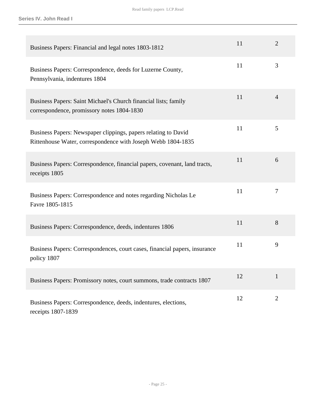| Business Papers: Financial and legal notes 1803-1812                                                                           | 11 | $\overline{2}$ |
|--------------------------------------------------------------------------------------------------------------------------------|----|----------------|
| Business Papers: Correspondence, deeds for Luzerne County,<br>Pennsylvania, indentures 1804                                    | 11 | 3              |
| Business Papers: Saint Michael's Church financial lists; family<br>correspondence, promissory notes 1804-1830                  | 11 | $\overline{4}$ |
| Business Papers: Newspaper clippings, papers relating to David<br>Rittenhouse Water, correspondence with Joseph Webb 1804-1835 | 11 | 5              |
| Business Papers: Correspondence, financial papers, covenant, land tracts,<br>receipts 1805                                     | 11 | 6              |
| Business Papers: Correspondence and notes regarding Nicholas Le<br>Favre 1805-1815                                             | 11 | 7              |
| Business Papers: Correspondence, deeds, indentures 1806                                                                        | 11 | 8              |
| Business Papers: Correspondences, court cases, financial papers, insurance<br>policy 1807                                      | 11 | 9              |
| Business Papers: Promissory notes, court summons, trade contracts 1807                                                         | 12 | $\mathbf{1}$   |
| Business Papers: Correspondence, deeds, indentures, elections,<br>receipts 1807-1839                                           | 12 | $\overline{2}$ |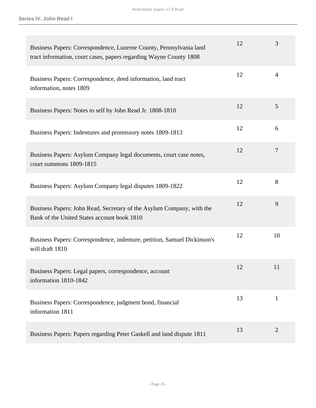| Business Papers: Correspondence, Luzerne County, Pennsylvania land<br>tract information, court cases, papers regarding Wayne County 1808 | 12 | 3              |
|------------------------------------------------------------------------------------------------------------------------------------------|----|----------------|
| Business Papers: Correspondence, deed information, land tract<br>information, notes 1809                                                 | 12 | $\overline{4}$ |
| Business Papers: Notes to self by John Read Jr. 1808-1810                                                                                | 12 | 5              |
| Business Papers: Indentures and promissory notes 1809-1813                                                                               | 12 | 6              |
| Business Papers: Asylum Company legal documents, court case notes,<br>court summons 1809-1815                                            | 12 | $\overline{7}$ |
| Business Papers: Asylum Company legal disputes 1809-1822                                                                                 | 12 | 8              |
| Business Papers: John Read, Secretary of the Asylum Company, with the<br>Bank of the United States account book 1810                     | 12 | 9              |
| Business Papers: Correspondence, indenture, petition, Samuel Dickinson's<br>will draft 1810                                              | 12 | 10             |
| Business Papers: Legal papers, correspondence, account<br>information 1810-1842                                                          | 12 | 11             |
| Business Papers: Correspondence, judgment bond, financial<br>information 1811                                                            | 13 | $\mathbf{1}$   |
| Business Papers: Papers regarding Peter Gaskell and land dispute 1811                                                                    | 13 | $\overline{2}$ |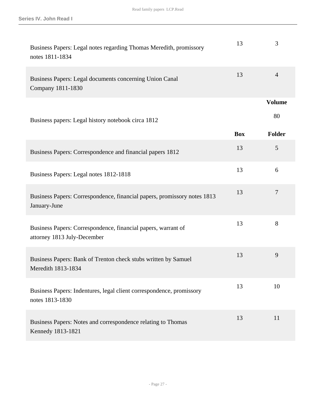| Business Papers: Legal notes regarding Thomas Meredith, promissory<br>notes 1811-1834        | 13         | 3              |
|----------------------------------------------------------------------------------------------|------------|----------------|
| Business Papers: Legal documents concerning Union Canal<br>Company 1811-1830                 | 13         | $\overline{4}$ |
|                                                                                              |            | <b>Volume</b>  |
| Business papers: Legal history notebook circa 1812                                           |            | 80             |
|                                                                                              | <b>Box</b> | <b>Folder</b>  |
| Business Papers: Correspondence and financial papers 1812                                    | 13         | 5              |
| Business Papers: Legal notes 1812-1818                                                       | 13         | 6              |
| Business Papers: Correspondence, financial papers, promissory notes 1813<br>January-June     | 13         | $\overline{7}$ |
| Business Papers: Correspondence, financial papers, warrant of<br>attorney 1813 July-December | 13         | 8              |
| Business Papers: Bank of Trenton check stubs written by Samuel<br>Meredith 1813-1834         | 13         | 9              |
| Business Papers: Indentures, legal client correspondence, promissory<br>notes 1813-1830      | 13         | 10             |
| Business Papers: Notes and correspondence relating to Thomas<br>Kennedy 1813-1821            | 13         | 11             |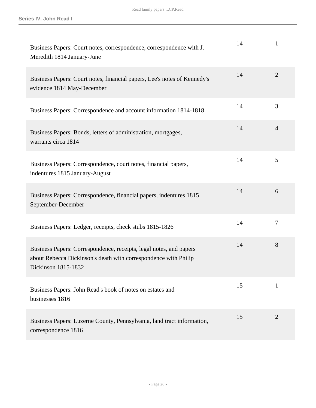| Business Papers: Court notes, correspondence, correspondence with J.<br>Meredith 1814 January-June                                                           | 14 | $\mathbf{1}$   |
|--------------------------------------------------------------------------------------------------------------------------------------------------------------|----|----------------|
| Business Papers: Court notes, financial papers, Lee's notes of Kennedy's<br>evidence 1814 May-December                                                       | 14 | $\overline{2}$ |
| Business Papers: Correspondence and account information 1814-1818                                                                                            | 14 | 3              |
| Business Papers: Bonds, letters of administration, mortgages,<br>warrants circa 1814                                                                         | 14 | 4              |
| Business Papers: Correspondence, court notes, financial papers,<br>indentures 1815 January-August                                                            | 14 | 5              |
| Business Papers: Correspondence, financial papers, indentures 1815<br>September-December                                                                     | 14 | 6              |
| Business Papers: Ledger, receipts, check stubs 1815-1826                                                                                                     | 14 | 7              |
| Business Papers: Correspondence, receipts, legal notes, and papers<br>about Rebecca Dickinson's death with correspondence with Philip<br>Dickinson 1815-1832 | 14 | 8              |
| Business Papers: John Read's book of notes on estates and<br>businesses 1816                                                                                 | 15 | 1              |
| Business Papers: Luzerne County, Pennsylvania, land tract information,<br>correspondence 1816                                                                | 15 | $\overline{2}$ |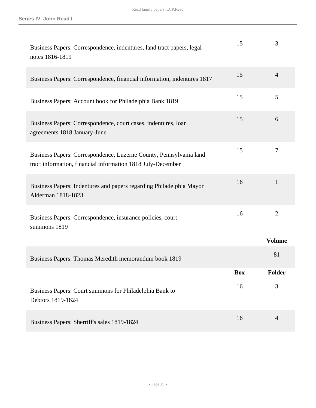| Business Papers: Correspondence, indentures, land tract papers, legal<br>notes 1816-1819                                          | 15         | 3              |
|-----------------------------------------------------------------------------------------------------------------------------------|------------|----------------|
| Business Papers: Correspondence, financial information, indentures 1817                                                           | 15         | $\overline{4}$ |
| Business Papers: Account book for Philadelphia Bank 1819                                                                          | 15         | 5              |
| Business Papers: Correspondence, court cases, indentures, loan<br>agreements 1818 January-June                                    | 15         | 6              |
| Business Papers: Correspondence, Luzerne County, Pennsylvania land<br>tract information, financial information 1818 July-December | 15         | 7              |
| Business Papers: Indentures and papers regarding Philadelphia Mayor<br>Alderman 1818-1823                                         | 16         | $\mathbf{1}$   |
| Business Papers: Correspondence, insurance policies, court<br>summons 1819                                                        | 16         | $\overline{2}$ |
|                                                                                                                                   |            | <b>Volume</b>  |
| Business Papers: Thomas Meredith memorandum book 1819                                                                             |            | 81             |
|                                                                                                                                   | <b>Box</b> | <b>Folder</b>  |
| Business Papers: Court summons for Philadelphia Bank to<br>Debtors 1819-1824                                                      | 16         | 3              |
| Business Papers: Sherriff's sales 1819-1824                                                                                       | 16         | $\overline{4}$ |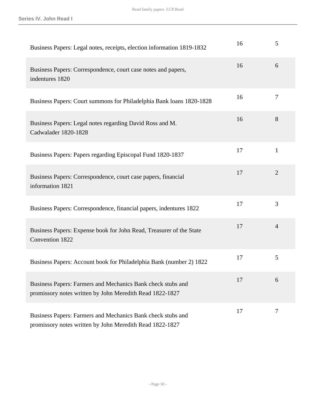| Business Papers: Legal notes, receipts, election information 1819-1832                                                  | 16 | 5              |
|-------------------------------------------------------------------------------------------------------------------------|----|----------------|
| Business Papers: Correspondence, court case notes and papers,<br>indentures 1820                                        | 16 | 6              |
| Business Papers: Court summons for Philadelphia Bank loans 1820-1828                                                    | 16 | $\tau$         |
| Business Papers: Legal notes regarding David Ross and M.<br>Cadwalader 1820-1828                                        | 16 | 8              |
| Business Papers: Papers regarding Episcopal Fund 1820-1837                                                              | 17 | $\mathbf{1}$   |
| Business Papers: Correspondence, court case papers, financial<br>information 1821                                       | 17 | $\overline{2}$ |
| Business Papers: Correspondence, financial papers, indentures 1822                                                      | 17 | 3              |
| Business Papers: Expense book for John Read, Treasurer of the State<br>Convention 1822                                  | 17 | $\overline{4}$ |
| Business Papers: Account book for Philadelphia Bank (number 2) 1822                                                     | 17 | 5              |
| Business Papers: Farmers and Mechanics Bank check stubs and<br>promissory notes written by John Meredith Read 1822-1827 | 17 | 6              |
| Business Papers: Farmers and Mechanics Bank check stubs and<br>promissory notes written by John Meredith Read 1822-1827 | 17 | 7              |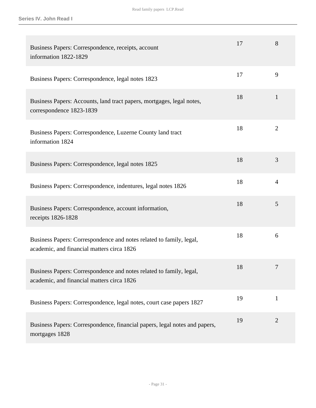| Business Papers: Correspondence, receipts, account<br>information 1822-1829                                       | 17 | 8              |
|-------------------------------------------------------------------------------------------------------------------|----|----------------|
| Business Papers: Correspondence, legal notes 1823                                                                 | 17 | 9              |
| Business Papers: Accounts, land tract papers, mortgages, legal notes,<br>correspondence 1823-1839                 | 18 | $\mathbf{1}$   |
| Business Papers: Correspondence, Luzerne County land tract<br>information 1824                                    | 18 | $\overline{2}$ |
| Business Papers: Correspondence, legal notes 1825                                                                 | 18 | 3              |
| Business Papers: Correspondence, indentures, legal notes 1826                                                     | 18 | $\overline{4}$ |
| Business Papers: Correspondence, account information,<br>receipts 1826-1828                                       | 18 | 5              |
| Business Papers: Correspondence and notes related to family, legal,<br>academic, and financial matters circa 1826 | 18 | 6              |
| Business Papers: Correspondence and notes related to family, legal,<br>academic, and financial matters circa 1826 | 18 | 7              |
| Business Papers: Correspondence, legal notes, court case papers 1827                                              | 19 | $\mathbf{1}$   |
| Business Papers: Correspondence, financial papers, legal notes and papers,<br>mortgages 1828                      | 19 | $\overline{2}$ |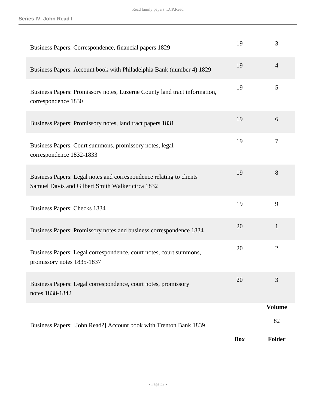| Business Papers: Correspondence, financial papers 1829                                                                  | 19         | 3              |
|-------------------------------------------------------------------------------------------------------------------------|------------|----------------|
| Business Papers: Account book with Philadelphia Bank (number 4) 1829                                                    | 19         | $\overline{4}$ |
| Business Papers: Promissory notes, Luzerne County land tract information,<br>correspondence 1830                        | 19         | 5              |
| Business Papers: Promissory notes, land tract papers 1831                                                               | 19         | 6              |
| Business Papers: Court summons, promissory notes, legal<br>correspondence 1832-1833                                     | 19         | 7              |
| Business Papers: Legal notes and correspondence relating to clients<br>Samuel Davis and Gilbert Smith Walker circa 1832 | 19         | 8              |
| <b>Business Papers: Checks 1834</b>                                                                                     | 19         | 9              |
| Business Papers: Promissory notes and business correspondence 1834                                                      | 20         | $\mathbf{1}$   |
| Business Papers: Legal correspondence, court notes, court summons,<br>promissory notes 1835-1837                        | 20         | $\overline{2}$ |
| Business Papers: Legal correspondence, court notes, promissory<br>notes 1838-1842                                       | 20         | 3              |
|                                                                                                                         |            | <b>Volume</b>  |
| Business Papers: [John Read?] Account book with Trenton Bank 1839                                                       |            | 82             |
|                                                                                                                         | <b>Box</b> | <b>Folder</b>  |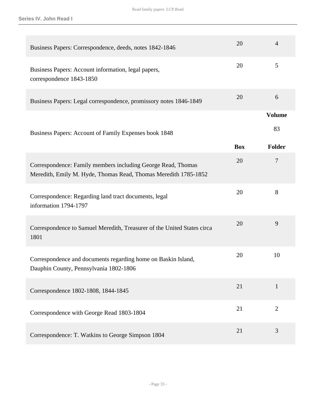| Business Papers: Correspondence, deeds, notes 1842-1846                                                                         | 20         | $\overline{4}$ |
|---------------------------------------------------------------------------------------------------------------------------------|------------|----------------|
|                                                                                                                                 |            |                |
| Business Papers: Account information, legal papers,<br>correspondence 1843-1850                                                 | 20         | 5              |
| Business Papers: Legal correspondence, promissory notes 1846-1849                                                               | 20         | 6              |
|                                                                                                                                 |            | <b>Volume</b>  |
| Business Papers: Account of Family Expenses book 1848                                                                           |            | 83             |
|                                                                                                                                 | <b>Box</b> | <b>Folder</b>  |
| Correspondence: Family members including George Read, Thomas<br>Meredith, Emily M. Hyde, Thomas Read, Thomas Meredith 1785-1852 | 20         | 7              |
| Correspondence: Regarding land tract documents, legal<br>information 1794-1797                                                  | 20         | 8              |
| Correspondence to Samuel Meredith, Treasurer of the United States circa<br>1801                                                 | 20         | 9              |
| Correspondence and documents regarding home on Baskin Island,<br>Dauphin County, Pennsylvania 1802-1806                         | 20         | 10             |
| Correspondence 1802-1808, 1844-1845                                                                                             | 21         | $\mathbf{1}$   |
| Correspondence with George Read 1803-1804                                                                                       | 21         | $\overline{2}$ |
| Correspondence: T. Watkins to George Simpson 1804                                                                               | 21         | 3              |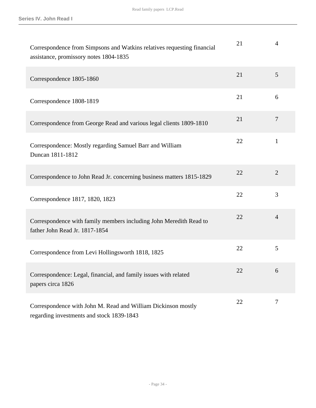| Correspondence from Simpsons and Watkins relatives requesting financial<br>assistance, promissory notes 1804-1835 | 21 | $\overline{4}$ |
|-------------------------------------------------------------------------------------------------------------------|----|----------------|
| Correspondence 1805-1860                                                                                          | 21 | 5              |
| Correspondence 1808-1819                                                                                          | 21 | 6              |
| Correspondence from George Read and various legal clients 1809-1810                                               | 21 | $\overline{7}$ |
| Correspondence: Mostly regarding Samuel Barr and William<br>Duncan 1811-1812                                      | 22 | 1              |
| Correspondence to John Read Jr. concerning business matters 1815-1829                                             | 22 | 2              |
| Correspondence 1817, 1820, 1823                                                                                   | 22 | 3              |
| Correspondence with family members including John Meredith Read to<br>father John Read Jr. 1817-1854              | 22 | $\overline{4}$ |
| Correspondence from Levi Hollingsworth 1818, 1825                                                                 | 22 | 5              |
| Correspondence: Legal, financial, and family issues with related<br>papers circa 1826                             | 22 | 6              |
| Correspondence with John M. Read and William Dickinson mostly<br>regarding investments and stock 1839-1843        | 22 | $\tau$         |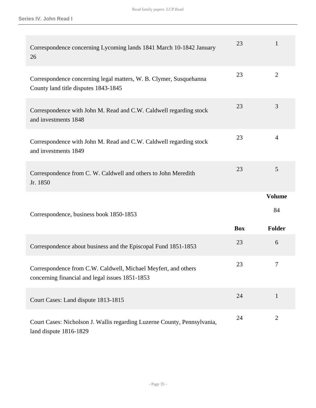| Correspondence concerning Lycoming lands 1841 March 10-1842 January<br>26                                         | 23         | $\mathbf{1}$   |
|-------------------------------------------------------------------------------------------------------------------|------------|----------------|
| Correspondence concerning legal matters, W. B. Clymer, Susquehanna<br>County land title disputes 1843-1845        | 23         | $\overline{2}$ |
| Correspondence with John M. Read and C.W. Caldwell regarding stock<br>and investments 1848                        | 23         | 3              |
| Correspondence with John M. Read and C.W. Caldwell regarding stock<br>and investments 1849                        | 23         | $\overline{4}$ |
| Correspondence from C. W. Caldwell and others to John Meredith<br>Jr. 1850                                        | 23         | 5              |
|                                                                                                                   |            | <b>Volume</b>  |
|                                                                                                                   |            |                |
| Correspondence, business book 1850-1853                                                                           |            | 84             |
|                                                                                                                   | <b>Box</b> | <b>Folder</b>  |
| Correspondence about business and the Episcopal Fund 1851-1853                                                    | 23         | 6              |
| Correspondence from C.W. Caldwell, Michael Meyfert, and others<br>concerning financial and legal issues 1851-1853 | 23         | 7              |
| Court Cases: Land dispute 1813-1815                                                                               | 24         | $\mathbf{1}$   |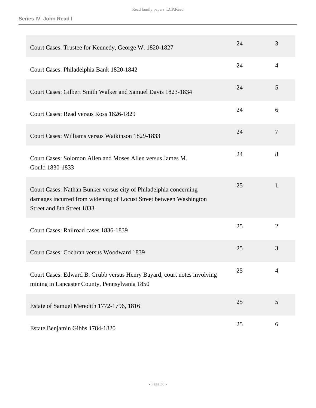| Court Cases: Trustee for Kennedy, George W. 1820-1827                                                                                                                 | 24 | 3              |
|-----------------------------------------------------------------------------------------------------------------------------------------------------------------------|----|----------------|
| Court Cases: Philadelphia Bank 1820-1842                                                                                                                              | 24 | $\overline{4}$ |
| Court Cases: Gilbert Smith Walker and Samuel Davis 1823-1834                                                                                                          | 24 | 5              |
| Court Cases: Read versus Ross 1826-1829                                                                                                                               | 24 | 6              |
| Court Cases: Williams versus Watkinson 1829-1833                                                                                                                      | 24 | 7              |
| Court Cases: Solomon Allen and Moses Allen versus James M.<br>Gould 1830-1833                                                                                         | 24 | 8              |
| Court Cases: Nathan Bunker versus city of Philadelphia concerning<br>damages incurred from widening of Locust Street between Washington<br>Street and 8th Street 1833 | 25 | $\mathbf{1}$   |
| Court Cases: Railroad cases 1836-1839                                                                                                                                 | 25 | $\overline{2}$ |
| Court Cases: Cochran versus Woodward 1839                                                                                                                             | 25 | 3              |
| Court Cases: Edward B. Grubb versus Henry Bayard, court notes involving<br>mining in Lancaster County, Pennsylvania 1850                                              | 25 | $\overline{4}$ |
| Estate of Samuel Meredith 1772-1796, 1816                                                                                                                             | 25 | 5              |
| Estate Benjamin Gibbs 1784-1820                                                                                                                                       | 25 | 6              |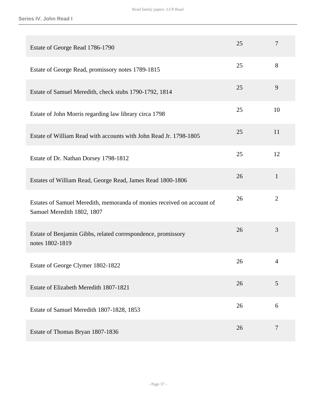| Estate of George Read 1786-1790                                                                      | 25 | $\overline{7}$ |
|------------------------------------------------------------------------------------------------------|----|----------------|
| Estate of George Read, promissory notes 1789-1815                                                    | 25 | 8              |
| Estate of Samuel Meredith, check stubs 1790-1792, 1814                                               | 25 | 9              |
| Estate of John Morris regarding law library circa 1798                                               | 25 | 10             |
| Estate of William Read with accounts with John Read Jr. 1798-1805                                    | 25 | 11             |
| Estate of Dr. Nathan Dorsey 1798-1812                                                                | 25 | 12             |
| Estates of William Read, George Read, James Read 1800-1806                                           | 26 | $\mathbf{1}$   |
| Estates of Samuel Meredith, memoranda of monies received on account of<br>Samuel Meredith 1802, 1807 | 26 | $\overline{2}$ |
| Estate of Benjamin Gibbs, related correspondence, promissory<br>notes 1802-1819                      | 26 | 3              |
| Estate of George Clymer 1802-1822                                                                    | 26 | $\overline{4}$ |
| Estate of Elizabeth Meredith 1807-1821                                                               | 26 | 5              |
| Estate of Samuel Meredith 1807-1828, 1853                                                            | 26 | 6              |
| Estate of Thomas Bryan 1807-1836                                                                     | 26 | 7              |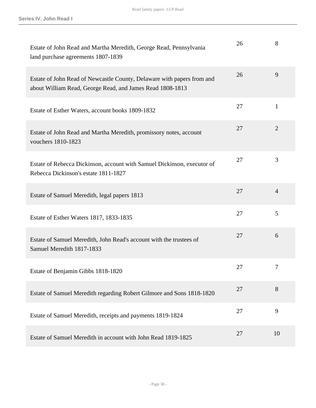| Estate of John Read and Martha Meredith, George Read, Pennsylvania<br>land purchase agreements 1807-1839                            | 26 | 8              |
|-------------------------------------------------------------------------------------------------------------------------------------|----|----------------|
| Estate of John Read of Newcastle County, Delaware with papers from and<br>about William Read, George Read, and James Read 1808-1813 | 26 | 9              |
| Estate of Esther Waters, account books 1809-1832                                                                                    | 27 | $\mathbf{1}$   |
| Estate of John Read and Martha Meredith, promissory notes, account<br>vouchers 1810-1823                                            | 27 | $\overline{2}$ |
| Estate of Rebecca Dickinson, account with Samuel Dickinson, executor of<br>Rebecca Dickinson's estate 1811-1827                     | 27 | 3              |
| Estate of Samuel Meredith, legal papers 1813                                                                                        | 27 | $\overline{4}$ |
| Estate of Esther Waters 1817, 1833-1835                                                                                             | 27 | 5              |
| Estate of Samuel Meredith, John Read's account with the trustees of<br>Samuel Meredith 1817-1833                                    | 27 | 6              |
| Estate of Benjamin Gibbs 1818-1820                                                                                                  | 27 | 7              |
| Estate of Samuel Meredith regarding Robert Gilmore and Sons 1818-1820                                                               | 27 | 8              |
| Estate of Samuel Meredith, receipts and payments 1819-1824                                                                          | 27 | 9              |
| Estate of Samuel Meredith in account with John Read 1819-1825                                                                       | 27 | 10             |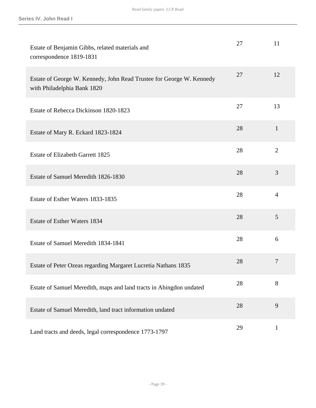| Estate of Benjamin Gibbs, related materials and<br>correspondence 1819-1831                         | 27 | 11             |
|-----------------------------------------------------------------------------------------------------|----|----------------|
| Estate of George W. Kennedy, John Read Trustee for George W. Kennedy<br>with Philadelphia Bank 1820 | 27 | 12             |
| Estate of Rebecca Dickinson 1820-1823                                                               | 27 | 13             |
| Estate of Mary R. Eckard 1823-1824                                                                  | 28 | $\mathbf{1}$   |
| <b>Estate of Elizabeth Garrett 1825</b>                                                             | 28 | $\overline{2}$ |
| Estate of Samuel Meredith 1826-1830                                                                 | 28 | 3              |
| Estate of Esther Waters 1833-1835                                                                   | 28 | $\overline{4}$ |
| Estate of Esther Waters 1834                                                                        | 28 | 5              |
| Estate of Samuel Meredith 1834-1841                                                                 | 28 | 6              |
| Estate of Peter Ozeas regarding Margaret Lucretia Nathans 1835                                      | 28 | $\overline{7}$ |
| Estate of Samuel Meredith, maps and land tracts in Abingdon undated                                 | 28 | 8              |
| Estate of Samuel Meredith, land tract information undated                                           | 28 | 9              |
| Land tracts and deeds, legal correspondence 1773-1797                                               | 29 | $\mathbf{1}$   |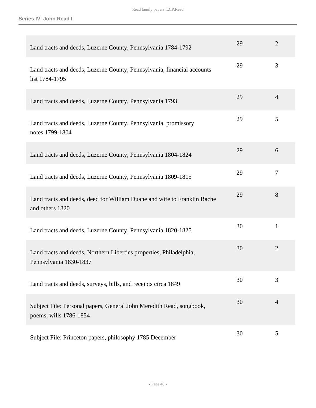**Series IV. John Read I**

| Land tracts and deeds, Luzerne County, Pennsylvania 1784-1792                                  | 29 | $\overline{2}$ |
|------------------------------------------------------------------------------------------------|----|----------------|
| Land tracts and deeds, Luzerne County, Pennsylvania, financial accounts<br>list 1784-1795      | 29 | 3              |
| Land tracts and deeds, Luzerne County, Pennsylvania 1793                                       | 29 | $\overline{4}$ |
| Land tracts and deeds, Luzerne County, Pennsylvania, promissory<br>notes 1799-1804             | 29 | 5              |
| Land tracts and deeds, Luzerne County, Pennsylvania 1804-1824                                  | 29 | 6              |
| Land tracts and deeds, Luzerne County, Pennsylvania 1809-1815                                  | 29 | $\overline{7}$ |
| Land tracts and deeds, deed for William Duane and wife to Franklin Bache<br>and others 1820    | 29 | 8              |
| Land tracts and deeds, Luzerne County, Pennsylvania 1820-1825                                  | 30 | $\mathbf{1}$   |
| Land tracts and deeds, Northern Liberties properties, Philadelphia,<br>Pennsylvania 1830-1837  | 30 | $\overline{2}$ |
| Land tracts and deeds, surveys, bills, and receipts circa 1849                                 | 30 | 3              |
| Subject File: Personal papers, General John Meredith Read, songbook,<br>poems, wills 1786-1854 | 30 | $\overline{4}$ |
| Subject File: Princeton papers, philosophy 1785 December                                       | 30 | 5              |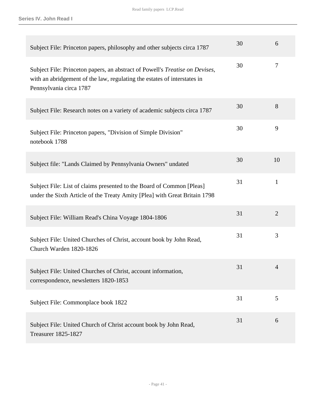**Series IV. John Read I**

| Subject File: Princeton papers, philosophy and other subjects circa 1787                                                                                                            | 30 | 6              |
|-------------------------------------------------------------------------------------------------------------------------------------------------------------------------------------|----|----------------|
| Subject File: Princeton papers, an abstract of Powell's Treatise on Devises,<br>with an abridgement of the law, regulating the estates of interstates in<br>Pennsylvania circa 1787 | 30 | $\overline{7}$ |
| Subject File: Research notes on a variety of academic subjects circa 1787                                                                                                           | 30 | 8              |
| Subject File: Princeton papers, "Division of Simple Division"<br>notebook 1788                                                                                                      | 30 | 9              |
| Subject file: "Lands Claimed by Pennsylvania Owners" undated                                                                                                                        | 30 | 10             |
| Subject File: List of claims presented to the Board of Common [Pleas]<br>under the Sixth Article of the Treaty Amity [Plea] with Great Britain 1798                                 | 31 | $\mathbf{1}$   |
| Subject File: William Read's China Voyage 1804-1806                                                                                                                                 | 31 | $\overline{2}$ |
| Subject File: United Churches of Christ, account book by John Read,<br>Church Warden 1820-1826                                                                                      | 31 | 3              |
| Subject File: United Churches of Christ, account information,<br>correspondence, newsletters 1820-1853                                                                              | 31 | 4              |
| Subject File: Commonplace book 1822                                                                                                                                                 | 31 | 5              |
| Subject File: United Church of Christ account book by John Read,<br><b>Treasurer 1825-1827</b>                                                                                      | 31 | 6              |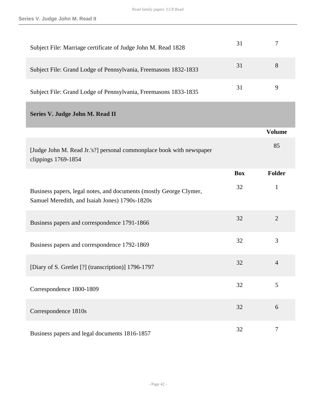| Subject File: Marriage certificate of Judge John M. Read 1828                                                        | 31         | 7              |
|----------------------------------------------------------------------------------------------------------------------|------------|----------------|
| Subject File: Grand Lodge of Pennsylvania, Freemasons 1832-1833                                                      | 31         | 8              |
| Subject File: Grand Lodge of Pennsylvania, Freemasons 1833-1835                                                      | 31         | 9              |
| Series V. Judge John M. Read II                                                                                      |            |                |
|                                                                                                                      |            | <b>Volume</b>  |
| [Judge John M. Read Jr.'s?] personal commonplace book with newspaper<br>clippings 1769-1854                          |            | 85             |
|                                                                                                                      | <b>Box</b> | Folder         |
| Business papers, legal notes, and documents (mostly George Clymer,<br>Samuel Meredith, and Isaiah Jones) 1790s-1820s | 32         | $\mathbf{1}$   |
| Business papers and correspondence 1791-1866                                                                         | 32         | $\overline{2}$ |
|                                                                                                                      |            |                |
| Business papers and correspondence 1792-1869                                                                         | 32         | 3              |
| [Diary of S. Gretlet [?] (transcription)] 1796-1797                                                                  | 32         | $\overline{4}$ |
| Correspondence 1800-1809                                                                                             | 32         | 5              |
| Correspondence 1810s                                                                                                 | 32         | 6              |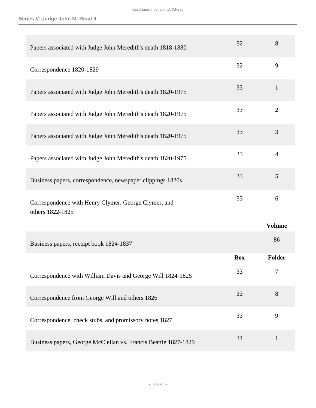| Papers associated with Judge John Meredith's death 1818-1880             | 32         | 8              |
|--------------------------------------------------------------------------|------------|----------------|
| Correspondence 1820-1829                                                 | 32         | 9              |
| Papers associated with Judge John Meredith's death 1820-1975             | 33         | $\mathbf{1}$   |
| Papers associated with Judge John Meredith's death 1820-1975             | 33         | $\overline{2}$ |
| Papers associated with Judge John Meredith's death 1820-1975             | 33         | 3              |
| Papers associated with Judge John Meredith's death 1820-1975             | 33         | $\overline{4}$ |
| Business papers, correspondence, newspaper clippings 1820s               | 33         | 5              |
| Correspondence with Henry Clymer, George Clymer, and<br>others 1822-1825 | 33         | 6              |
|                                                                          |            | <b>Volume</b>  |
| Business papers, receipt book 1824-1837                                  |            | 86             |
|                                                                          |            |                |
|                                                                          | <b>Box</b> | Folder         |
| Correspondence with William Davis and George Will 1824-1825              | 33         | 7              |
| Correspondence from George Will and others 1826                          | 33         | 8              |
| Correspondence, check stubs, and promissory notes 1827                   | 33         | 9              |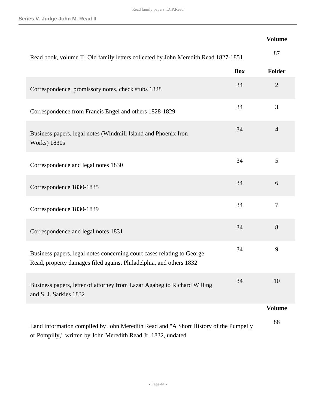## **Volume**

| Read book, volume II: Old family letters collected by John Meredith Read 1827-1851                                                                    |            | 87             |
|-------------------------------------------------------------------------------------------------------------------------------------------------------|------------|----------------|
|                                                                                                                                                       | <b>Box</b> | Folder         |
| Correspondence, promissory notes, check stubs 1828                                                                                                    | 34         | $\overline{2}$ |
| Correspondence from Francis Engel and others 1828-1829                                                                                                | 34         | 3              |
| Business papers, legal notes (Windmill Island and Phoenix Iron<br><b>Works</b> ) 1830s                                                                | 34         | $\overline{4}$ |
| Correspondence and legal notes 1830                                                                                                                   | 34         | 5              |
| Correspondence 1830-1835                                                                                                                              | 34         | 6              |
| Correspondence 1830-1839                                                                                                                              | 34         | $\tau$         |
| Correspondence and legal notes 1831                                                                                                                   | 34         | 8              |
| Business papers, legal notes concerning court cases relating to George<br>Read, property damages filed against Philadelphia, and others 1832          | 34         | 9              |
| Business papers, letter of attorney from Lazar Agabeg to Richard Willing<br>and S. J. Sarkies 1832                                                    | 34         | 10             |
|                                                                                                                                                       |            | <b>Volume</b>  |
| Land information compiled by John Meredith Read and "A Short History of the Pumpelly<br>or Pompilly," written by John Meredith Read Jr. 1832, undated |            | 88             |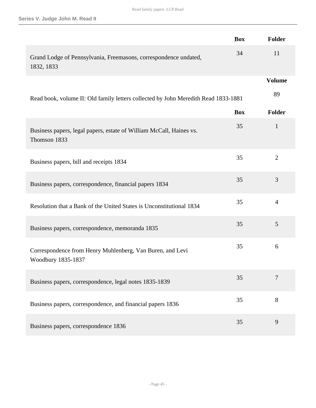|                                                                                     | <b>Box</b> | Folder         |
|-------------------------------------------------------------------------------------|------------|----------------|
| Grand Lodge of Pennsylvania, Freemasons, correspondence undated,<br>1832, 1833      | 34         | 11             |
|                                                                                     |            | <b>Volume</b>  |
| Read book, volume II: Old family letters collected by John Meredith Read 1833-1881  |            | 89             |
|                                                                                     | <b>Box</b> | Folder         |
| Business papers, legal papers, estate of William McCall, Haines vs.<br>Thomson 1833 | 35         | $\mathbf{1}$   |
| Business papers, bill and receipts 1834                                             | 35         | $\overline{2}$ |
| Business papers, correspondence, financial papers 1834                              | 35         | 3              |
| Resolution that a Bank of the United States is Unconstitutional 1834                | 35         | $\overline{4}$ |
| Business papers, correspondence, memoranda 1835                                     | 35         | 5              |
| Correspondence from Henry Muhlenberg, Van Buren, and Levi<br>Woodbury 1835-1837     | 35         | 6              |
| Business papers, correspondence, legal notes 1835-1839                              | 35         | $\tau$         |
| Business papers, correspondence, and financial papers 1836                          | 35         | 8              |
| Business papers, correspondence 1836                                                | 35         | 9              |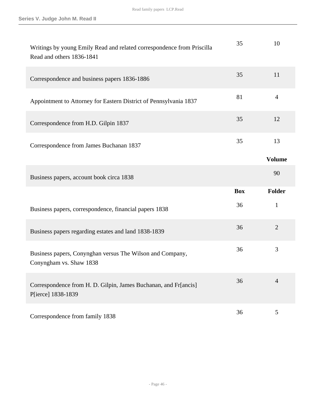| Writings by young Emily Read and related correspondence from Priscilla<br>Read and others 1836-1841 | 35         | 10             |
|-----------------------------------------------------------------------------------------------------|------------|----------------|
| Correspondence and business papers 1836-1886                                                        | 35         | 11             |
| Appointment to Attorney for Eastern District of Pennsylvania 1837                                   | 81         | $\overline{4}$ |
| Correspondence from H.D. Gilpin 1837                                                                | 35         | 12             |
| Correspondence from James Buchanan 1837                                                             | 35         | 13             |
|                                                                                                     |            | <b>Volume</b>  |
|                                                                                                     |            | 90             |
| Business papers, account book circa 1838                                                            |            |                |
|                                                                                                     | <b>Box</b> | <b>Folder</b>  |
| Business papers, correspondence, financial papers 1838                                              | 36         | $\mathbf{1}$   |
| Business papers regarding estates and land 1838-1839                                                | 36         | $\overline{2}$ |
| Business papers, Conynghan versus The Wilson and Company,<br>Conyngham vs. Shaw 1838                | 36         | 3              |
| Correspondence from H. D. Gilpin, James Buchanan, and Fr[ancis]<br>P[ierce] 1838-1839               | 36         | $\overline{4}$ |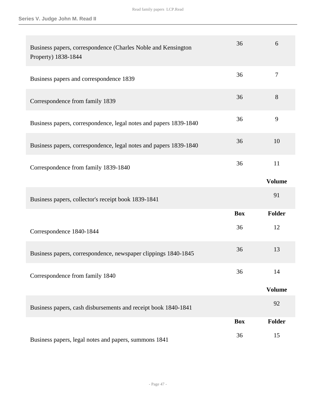| Business papers, correspondence (Charles Noble and Kensington<br>Property) 1838-1844 | 36         | 6             |
|--------------------------------------------------------------------------------------|------------|---------------|
| Business papers and correspondence 1839                                              | 36         | 7             |
| Correspondence from family 1839                                                      | 36         | 8             |
| Business papers, correspondence, legal notes and papers 1839-1840                    | 36         | 9             |
| Business papers, correspondence, legal notes and papers 1839-1840                    | 36         | 10            |
| Correspondence from family 1839-1840                                                 | 36         | 11            |
|                                                                                      |            | <b>Volume</b> |
|                                                                                      |            |               |
| Business papers, collector's receipt book 1839-1841                                  |            | 91            |
|                                                                                      | <b>Box</b> | <b>Folder</b> |
| Correspondence 1840-1844                                                             | 36         | 12            |
| Business papers, correspondence, newspaper clippings 1840-1845                       | 36         | 13            |
| Correspondence from family 1840                                                      | 36         | 14            |
|                                                                                      |            | <b>Volume</b> |
| Business papers, cash disbursements and receipt book 1840-1841                       |            | 92            |
|                                                                                      | <b>Box</b> | Folder        |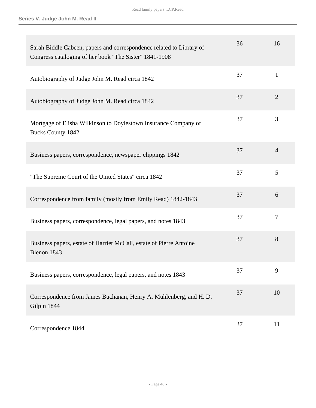| Sarah Biddle Cabeen, papers and correspondence related to Library of<br>Congress cataloging of her book "The Sister" 1841-1908 | 36 | 16             |
|--------------------------------------------------------------------------------------------------------------------------------|----|----------------|
| Autobiography of Judge John M. Read circa 1842                                                                                 | 37 | $\mathbf{1}$   |
| Autobiography of Judge John M. Read circa 1842                                                                                 | 37 | $\overline{2}$ |
| Mortgage of Elisha Wilkinson to Doylestown Insurance Company of<br><b>Bucks County 1842</b>                                    | 37 | 3              |
| Business papers, correspondence, newspaper clippings 1842                                                                      | 37 | $\overline{4}$ |
| "The Supreme Court of the United States" circa 1842                                                                            | 37 | 5              |
| Correspondence from family (mostly from Emily Read) 1842-1843                                                                  | 37 | 6              |
| Business papers, correspondence, legal papers, and notes 1843                                                                  | 37 | $\overline{7}$ |
| Business papers, estate of Harriet McCall, estate of Pierre Antoine<br>Blenon 1843                                             | 37 | 8              |
| Business papers, correspondence, legal papers, and notes 1843                                                                  | 37 | 9              |
| Correspondence from James Buchanan, Henry A. Muhlenberg, and H. D.<br>Gilpin 1844                                              | 37 | 10             |
| Correspondence 1844                                                                                                            | 37 | 11             |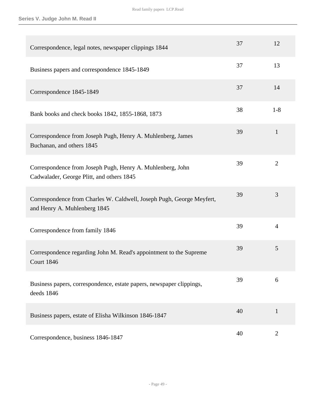| Correspondence, legal notes, newspaper clippings 1844                                                   | 37 | 12             |
|---------------------------------------------------------------------------------------------------------|----|----------------|
| Business papers and correspondence 1845-1849                                                            | 37 | 13             |
| Correspondence 1845-1849                                                                                | 37 | 14             |
| Bank books and check books 1842, 1855-1868, 1873                                                        | 38 | $1 - 8$        |
| Correspondence from Joseph Pugh, Henry A. Muhlenberg, James<br>Buchanan, and others 1845                | 39 | $\mathbf{1}$   |
| Correspondence from Joseph Pugh, Henry A. Muhlenberg, John<br>Cadwalader, George Plitt, and others 1845 | 39 | $\overline{2}$ |
| Correspondence from Charles W. Caldwell, Joseph Pugh, George Meyfert,<br>and Henry A. Muhlenberg 1845   | 39 | 3              |
| Correspondence from family 1846                                                                         | 39 | $\overline{4}$ |
| Correspondence regarding John M. Read's appointment to the Supreme<br><b>Court 1846</b>                 | 39 | 5              |
| Business papers, correspondence, estate papers, newspaper clippings,<br>deeds 1846                      | 39 | 6              |
| Business papers, estate of Elisha Wilkinson 1846-1847                                                   | 40 | $\mathbf{1}$   |
| Correspondence, business 1846-1847                                                                      | 40 | $\overline{2}$ |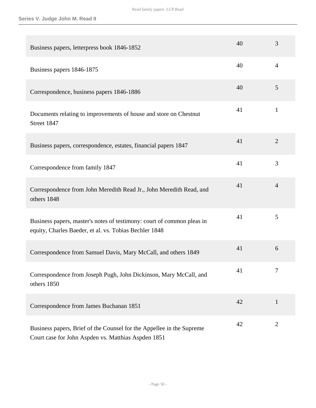| Business papers, letterpress book 1846-1852                                                                                      | 40 | 3              |
|----------------------------------------------------------------------------------------------------------------------------------|----|----------------|
| Business papers 1846-1875                                                                                                        | 40 | 4              |
| Correspondence, business papers 1846-1886                                                                                        | 40 | 5              |
| Documents relating to improvements of house and store on Chestnut<br>Street 1847                                                 | 41 | $\mathbf{1}$   |
| Business papers, correspondence, estates, financial papers 1847                                                                  | 41 | $\overline{2}$ |
| Correspondence from family 1847                                                                                                  | 41 | 3              |
| Correspondence from John Meredith Read Jr., John Meredith Read, and<br>others 1848                                               | 41 | $\overline{4}$ |
| Business papers, master's notes of testimony: court of common pleas in<br>equity, Charles Baeder, et al. vs. Tobias Bechler 1848 | 41 | 5              |
| Correspondence from Samuel Davis, Mary McCall, and others 1849                                                                   | 41 | 6              |
| Correspondence from Joseph Pugh, John Dickinson, Mary McCall, and<br>others 1850                                                 | 41 | 7              |
| Correspondence from James Buchanan 1851                                                                                          | 42 | $\mathbf{1}$   |
| Business papers, Brief of the Counsel for the Appellee in the Supreme<br>Court case for John Aspden vs. Matthias Aspden 1851     | 42 | $\overline{c}$ |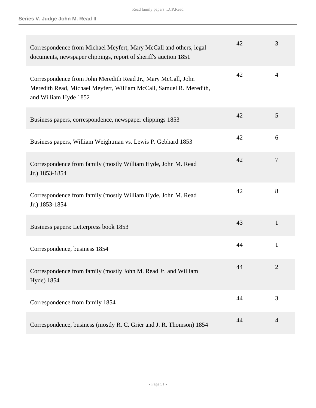| Correspondence from Michael Meyfert, Mary McCall and others, legal<br>documents, newspaper clippings, report of sheriff's auction 1851                        | 42 | 3              |
|---------------------------------------------------------------------------------------------------------------------------------------------------------------|----|----------------|
| Correspondence from John Meredith Read Jr., Mary McCall, John<br>Meredith Read, Michael Meyfert, William McCall, Samuel R. Meredith,<br>and William Hyde 1852 | 42 | $\overline{4}$ |
| Business papers, correspondence, newspaper clippings 1853                                                                                                     | 42 | 5              |
| Business papers, William Weightman vs. Lewis P. Gebhard 1853                                                                                                  | 42 | 6              |
| Correspondence from family (mostly William Hyde, John M. Read<br>Jr.) 1853-1854                                                                               | 42 | $\tau$         |
| Correspondence from family (mostly William Hyde, John M. Read<br>Jr.) 1853-1854                                                                               | 42 | 8              |
| Business papers: Letterpress book 1853                                                                                                                        | 43 | $\mathbf{1}$   |
| Correspondence, business 1854                                                                                                                                 | 44 | $\mathbf{1}$   |
| Correspondence from family (mostly John M. Read Jr. and William<br>Hyde) 1854                                                                                 | 44 |                |
| Correspondence from family 1854                                                                                                                               | 44 | 3              |
| Correspondence, business (mostly R. C. Grier and J. R. Thomson) 1854                                                                                          | 44 | $\overline{4}$ |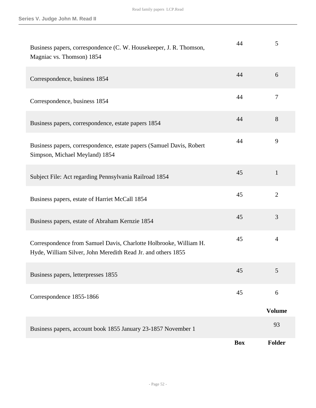| Business papers, correspondence (C. W. Housekeeper, J. R. Thomson,<br>Magniac vs. Thomson) 1854                                   | 44         | 5              |
|-----------------------------------------------------------------------------------------------------------------------------------|------------|----------------|
| Correspondence, business 1854                                                                                                     | 44         | 6              |
| Correspondence, business 1854                                                                                                     | 44         | $\overline{7}$ |
| Business papers, correspondence, estate papers 1854                                                                               | 44         | 8              |
| Business papers, correspondence, estate papers (Samuel Davis, Robert<br>Simpson, Michael Meyland) 1854                            | 44         | 9              |
| Subject File: Act regarding Pennsylvania Railroad 1854                                                                            | 45         | $\mathbf{1}$   |
| Business papers, estate of Harriet McCall 1854                                                                                    | 45         | $\overline{2}$ |
| Business papers, estate of Abraham Kernzie 1854                                                                                   | 45         | 3              |
| Correspondence from Samuel Davis, Charlotte Holbrooke, William H.<br>Hyde, William Silver, John Meredith Read Jr. and others 1855 | 45         | $\overline{4}$ |
| Business papers, letterpresses 1855                                                                                               | 45         | 5              |
| Correspondence 1855-1866                                                                                                          | 45         | 6              |
|                                                                                                                                   |            | <b>Volume</b>  |
| Business papers, account book 1855 January 23-1857 November 1                                                                     |            | 93             |
|                                                                                                                                   | <b>Box</b> | <b>Folder</b>  |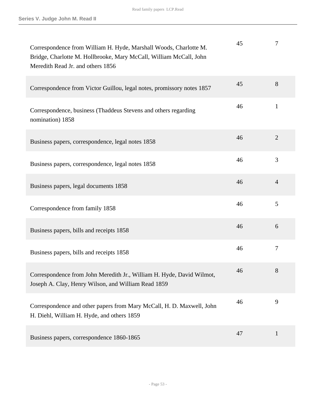| Correspondence from William H. Hyde, Marshall Woods, Charlotte M.<br>Bridge, Charlotte M. Hollbrooke, Mary McCall, William McCall, John<br>Meredith Read Jr. and others 1856 | 45 | 7              |
|------------------------------------------------------------------------------------------------------------------------------------------------------------------------------|----|----------------|
| Correspondence from Victor Guillou, legal notes, promissory notes 1857                                                                                                       | 45 | 8              |
| Correspondence, business (Thaddeus Stevens and others regarding<br>nomination) 1858                                                                                          | 46 | $\mathbf{1}$   |
| Business papers, correspondence, legal notes 1858                                                                                                                            | 46 | $\overline{2}$ |
| Business papers, correspondence, legal notes 1858                                                                                                                            | 46 | 3              |
| Business papers, legal documents 1858                                                                                                                                        | 46 | $\overline{4}$ |
| Correspondence from family 1858                                                                                                                                              | 46 | 5              |
| Business papers, bills and receipts 1858                                                                                                                                     | 46 | 6              |
| Business papers, bills and receipts 1858                                                                                                                                     | 46 | $\tau$         |
| Correspondence from John Meredith Jr., William H. Hyde, David Wilmot,<br>Joseph A. Clay, Henry Wilson, and William Read 1859                                                 | 46 | 8              |
| Correspondence and other papers from Mary McCall, H. D. Maxwell, John<br>H. Diehl, William H. Hyde, and others 1859                                                          | 46 | 9              |
| Business papers, correspondence 1860-1865                                                                                                                                    | 47 | $\mathbf{1}$   |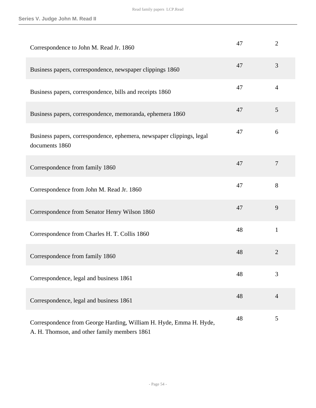| Correspondence to John M. Read Jr. 1860                                                 | 47 | $\overline{2}$ |
|-----------------------------------------------------------------------------------------|----|----------------|
| Business papers, correspondence, newspaper clippings 1860                               | 47 | 3              |
| Business papers, correspondence, bills and receipts 1860                                | 47 | $\overline{4}$ |
| Business papers, correspondence, memoranda, ephemera 1860                               | 47 | 5              |
| Business papers, correspondence, ephemera, newspaper clippings, legal<br>documents 1860 | 47 | 6              |
| Correspondence from family 1860                                                         | 47 | $\overline{7}$ |
| Correspondence from John M. Read Jr. 1860                                               | 47 | 8              |
| Correspondence from Senator Henry Wilson 1860                                           | 47 | 9              |
| Correspondence from Charles H. T. Collis 1860                                           | 48 | $\mathbf{1}$   |
| Correspondence from family 1860                                                         | 48 | $\overline{2}$ |
| Correspondence, legal and business 1861                                                 | 48 | 3              |
| Correspondence, legal and business 1861                                                 | 48 | $\overline{4}$ |
| Correspondence from George Harding, William H. Hyde, Emma H. Hyde,                      | 48 | 5              |

A. H. Thomson, and other family members 1861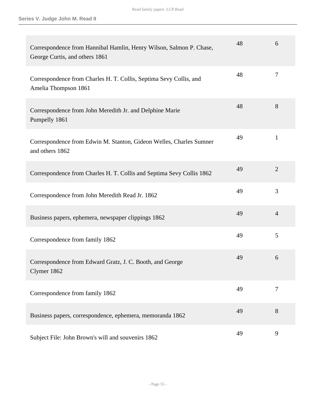| Correspondence from Hannibal Hamlin, Henry Wilson, Salmon P. Chase,<br>George Curtis, and others 1861 | 48 | 6              |
|-------------------------------------------------------------------------------------------------------|----|----------------|
| Correspondence from Charles H. T. Collis, Septima Sevy Collis, and<br>Amelia Thompson 1861            | 48 | 7              |
| Correspondence from John Meredith Jr. and Delphine Marie<br>Pumpelly 1861                             | 48 | 8              |
| Correspondence from Edwin M. Stanton, Gideon Welles, Charles Sumner<br>and others 1862                | 49 | $\mathbf{1}$   |
| Correspondence from Charles H. T. Collis and Septima Sevy Collis 1862                                 | 49 | $\overline{2}$ |
| Correspondence from John Meredith Read Jr. 1862                                                       | 49 | 3              |
| Business papers, ephemera, newspaper clippings 1862                                                   | 49 | $\overline{4}$ |
| Correspondence from family 1862                                                                       | 49 | 5              |
| Correspondence from Edward Gratz, J. C. Booth, and George<br>Clymer 1862                              | 49 | 6              |
| Correspondence from family 1862                                                                       | 49 | 7              |
| Business papers, correspondence, ephemera, memoranda 1862                                             | 49 | 8              |
| Subject File: John Brown's will and souvenirs 1862                                                    | 49 | 9              |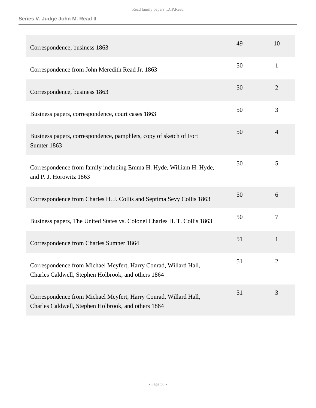| Correspondence, business 1863                                                                                           | 49 | 10             |
|-------------------------------------------------------------------------------------------------------------------------|----|----------------|
| Correspondence from John Meredith Read Jr. 1863                                                                         | 50 | $\mathbf{1}$   |
| Correspondence, business 1863                                                                                           | 50 | $\overline{2}$ |
| Business papers, correspondence, court cases 1863                                                                       | 50 | 3              |
| Business papers, correspondence, pamphlets, copy of sketch of Fort<br>Sumter 1863                                       | 50 | $\overline{4}$ |
| Correspondence from family including Emma H. Hyde, William H. Hyde,<br>and P. J. Horowitz 1863                          | 50 | 5              |
| Correspondence from Charles H. J. Collis and Septima Sevy Collis 1863                                                   | 50 | 6              |
| Business papers, The United States vs. Colonel Charles H. T. Collis 1863                                                | 50 | $\overline{7}$ |
| Correspondence from Charles Sumner 1864                                                                                 | 51 | $\mathbf{1}$   |
| Correspondence from Michael Meyfert, Harry Conrad, Willard Hall,<br>Charles Caldwell, Stephen Holbrook, and others 1864 | 51 | $\overline{2}$ |
| Correspondence from Michael Meyfert, Harry Conrad, Willard Hall,<br>Charles Caldwell, Stephen Holbrook, and others 1864 | 51 | 3              |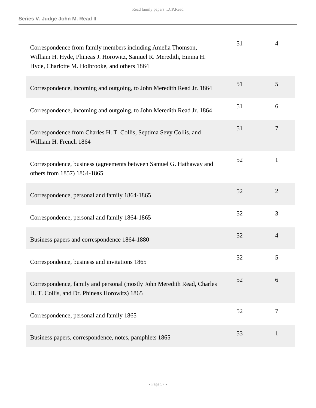| Correspondence from family members including Amelia Thomson,<br>William H. Hyde, Phineas J. Horowitz, Samuel R. Meredith, Emma H.<br>Hyde, Charlotte M. Holbrooke, and others 1864 | 51 | $\overline{4}$ |
|------------------------------------------------------------------------------------------------------------------------------------------------------------------------------------|----|----------------|
| Correspondence, incoming and outgoing, to John Meredith Read Jr. 1864                                                                                                              | 51 | 5              |
| Correspondence, incoming and outgoing, to John Meredith Read Jr. 1864                                                                                                              | 51 | 6              |
| Correspondence from Charles H. T. Collis, Septima Sevy Collis, and<br>William H. French 1864                                                                                       | 51 | 7              |
| Correspondence, business (agreements between Samuel G. Hathaway and<br>others from 1857) 1864-1865                                                                                 | 52 | $\mathbf{1}$   |
| Correspondence, personal and family 1864-1865                                                                                                                                      | 52 | $\overline{2}$ |
| Correspondence, personal and family 1864-1865                                                                                                                                      | 52 | $\overline{3}$ |
| Business papers and correspondence 1864-1880                                                                                                                                       | 52 | $\overline{4}$ |
| Correspondence, business and invitations 1865                                                                                                                                      | 52 | 5              |
| Correspondence, family and personal (mostly John Meredith Read, Charles<br>H. T. Collis, and Dr. Phineas Horowitz) 1865                                                            | 52 | 6              |
| Correspondence, personal and family 1865                                                                                                                                           | 52 | $\overline{7}$ |
| Business papers, correspondence, notes, pamphlets 1865                                                                                                                             | 53 | $\mathbf{1}$   |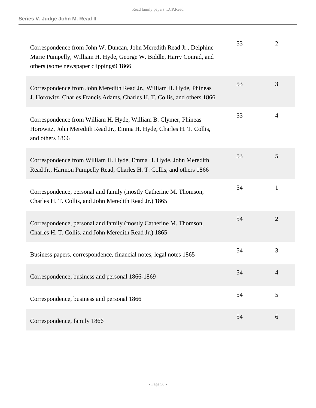| Correspondence from John W. Duncan, John Meredith Read Jr., Delphine<br>Marie Pumpelly, William H. Hyde, George W. Biddle, Harry Conrad, and<br>others (some newspaper clippings9 1866 | 53 | $\overline{2}$ |
|----------------------------------------------------------------------------------------------------------------------------------------------------------------------------------------|----|----------------|
| Correspondence from John Meredith Read Jr., William H. Hyde, Phineas<br>J. Horowitz, Charles Francis Adams, Charles H. T. Collis, and others 1866                                      | 53 | 3              |
| Correspondence from William H. Hyde, William B. Clymer, Phineas<br>Horowitz, John Meredith Read Jr., Emma H. Hyde, Charles H. T. Collis,<br>and others 1866                            | 53 | $\overline{4}$ |
| Correspondence from William H. Hyde, Emma H. Hyde, John Meredith<br>Read Jr., Harmon Pumpelly Read, Charles H. T. Collis, and others 1866                                              | 53 | 5              |
| Correspondence, personal and family (mostly Catherine M. Thomson,<br>Charles H. T. Collis, and John Meredith Read Jr.) 1865                                                            | 54 | $\mathbf{1}$   |
| Correspondence, personal and family (mostly Catherine M. Thomson,<br>Charles H. T. Collis, and John Meredith Read Jr.) 1865                                                            | 54 | $\overline{2}$ |
| Business papers, correspondence, financial notes, legal notes 1865                                                                                                                     | 54 | 3              |
| Correspondence, business and personal 1866-1869                                                                                                                                        | 54 | 4              |
| Correspondence, business and personal 1866                                                                                                                                             | 54 | 5              |
| Correspondence, family 1866                                                                                                                                                            | 54 | 6              |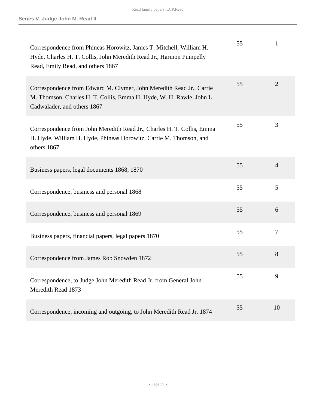| Correspondence from Phineas Horowitz, James T. Mitchell, William H.<br>Hyde, Charles H. T. Collis, John Meredith Read Jr., Harmon Pumpelly<br>Read, Emily Read, and others 1867 | 55 | 1              |
|---------------------------------------------------------------------------------------------------------------------------------------------------------------------------------|----|----------------|
| Correspondence from Edward M. Clymer, John Meredith Read Jr., Carrie<br>M. Thomson, Charles H. T. Collis, Emma H. Hyde, W. H. Rawle, John L.<br>Cadwalader, and others 1867     | 55 | $\overline{2}$ |
| Correspondence from John Meredith Read Jr., Charles H. T. Collis, Emma<br>H. Hyde, William H. Hyde, Phineas Horowitz, Carrie M. Thomson, and<br>others 1867                     | 55 | 3              |
| Business papers, legal documents 1868, 1870                                                                                                                                     | 55 | $\overline{4}$ |
| Correspondence, business and personal 1868                                                                                                                                      | 55 | 5              |
| Correspondence, business and personal 1869                                                                                                                                      | 55 | 6              |
| Business papers, financial papers, legal papers 1870                                                                                                                            | 55 | $\overline{7}$ |
| Correspondence from James Rob Snowden 1872                                                                                                                                      | 55 | 8              |
| Correspondence, to Judge John Meredith Read Jr. from General John<br>Meredith Read 1873                                                                                         | 55 | 9              |
| Correspondence, incoming and outgoing, to John Meredith Read Jr. 1874                                                                                                           | 55 | 10             |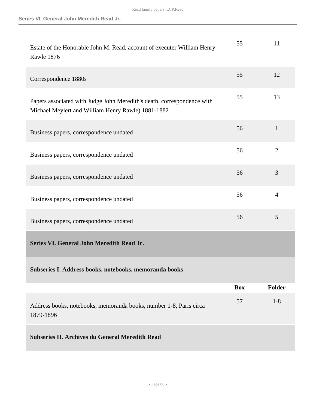| Estate of the Honorable John M. Read, account of executer William Henry<br>Rawle 1876                                         | 55         | 11             |
|-------------------------------------------------------------------------------------------------------------------------------|------------|----------------|
| Correspondence 1880s                                                                                                          | 55         | 12             |
| Papers associated with Judge John Meredith's death, correspondence with<br>Michael Meylert and William Henry Rawle) 1881-1882 | 55         | 13             |
| Business papers, correspondence undated                                                                                       | 56         | $\mathbf{1}$   |
| Business papers, correspondence undated                                                                                       | 56         | $\overline{2}$ |
| Business papers, correspondence undated                                                                                       | 56         | 3              |
| Business papers, correspondence undated                                                                                       | 56         | $\overline{4}$ |
| Business papers, correspondence undated                                                                                       | 56         | 5              |
| Series VI. General John Meredith Read Jr.                                                                                     |            |                |
| Subseries I. Address books, notebooks, memoranda books                                                                        |            |                |
|                                                                                                                               | <b>Box</b> | <b>Folder</b>  |
| Address books, notebooks, memoranda books, number 1-8, Paris circa<br>1879-1896                                               | 57         | $1 - 8$        |
| <b>Subseries II. Archives du General Meredith Read</b>                                                                        |            |                |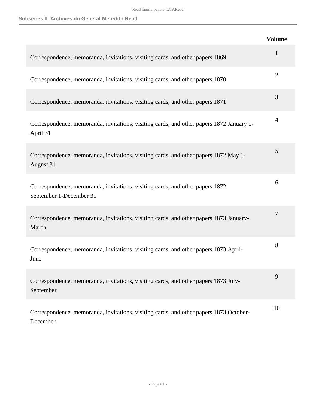|                                                                                                          | <b>Volume</b>  |
|----------------------------------------------------------------------------------------------------------|----------------|
| Correspondence, memoranda, invitations, visiting cards, and other papers 1869                            | 1              |
| Correspondence, memoranda, invitations, visiting cards, and other papers 1870                            | $\overline{2}$ |
| Correspondence, memoranda, invitations, visiting cards, and other papers 1871                            | 3              |
| Correspondence, memoranda, invitations, visiting cards, and other papers 1872 January 1-<br>April 31     | 4              |
| Correspondence, memoranda, invitations, visiting cards, and other papers 1872 May 1-<br>August 31        | 5              |
| Correspondence, memoranda, invitations, visiting cards, and other papers 1872<br>September 1-December 31 | 6              |
| Correspondence, memoranda, invitations, visiting cards, and other papers 1873 January-<br>March          | 7              |
| Correspondence, memoranda, invitations, visiting cards, and other papers 1873 April-<br>June             | 8              |
| Correspondence, memoranda, invitations, visiting cards, and other papers 1873 July-<br>September         | 9              |
| Correspondence, memoranda, invitations, visiting cards, and other papers 1873 October-<br>December       | 10             |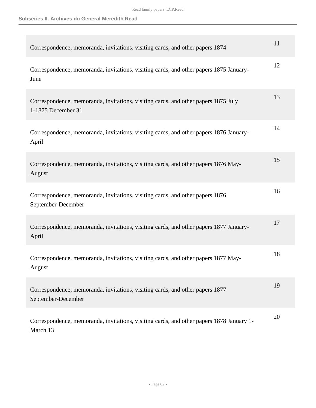| Correspondence, memoranda, invitations, visiting cards, and other papers 1874                            | 11 |
|----------------------------------------------------------------------------------------------------------|----|
| Correspondence, memoranda, invitations, visiting cards, and other papers 1875 January-<br>June           | 12 |
| Correspondence, memoranda, invitations, visiting cards, and other papers 1875 July<br>1-1875 December 31 | 13 |
| Correspondence, memoranda, invitations, visiting cards, and other papers 1876 January-<br>April          | 14 |
| Correspondence, memoranda, invitations, visiting cards, and other papers 1876 May-<br>August             | 15 |
| Correspondence, memoranda, invitations, visiting cards, and other papers 1876<br>September-December      | 16 |
| Correspondence, memoranda, invitations, visiting cards, and other papers 1877 January-<br>April          | 17 |
| Correspondence, memoranda, invitations, visiting cards, and other papers 1877 May-<br>August             | 18 |
| Correspondence, memoranda, invitations, visiting cards, and other papers 1877<br>September-December      | 19 |
| Correspondence, memoranda, invitations, visiting cards, and other papers 1878 January 1-<br>March 13     | 20 |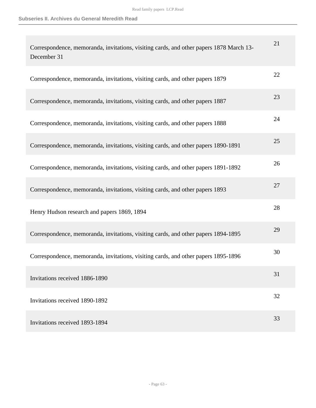| Correspondence, memoranda, invitations, visiting cards, and other papers 1878 March 13-<br>December 31 | 21 |
|--------------------------------------------------------------------------------------------------------|----|
| Correspondence, memoranda, invitations, visiting cards, and other papers 1879                          | 22 |
| Correspondence, memoranda, invitations, visiting cards, and other papers 1887                          | 23 |
| Correspondence, memoranda, invitations, visiting cards, and other papers 1888                          | 24 |
| Correspondence, memoranda, invitations, visiting cards, and other papers 1890-1891                     | 25 |
| Correspondence, memoranda, invitations, visiting cards, and other papers 1891-1892                     | 26 |
| Correspondence, memoranda, invitations, visiting cards, and other papers 1893                          | 27 |
| Henry Hudson research and papers 1869, 1894                                                            | 28 |
| Correspondence, memoranda, invitations, visiting cards, and other papers 1894-1895                     | 29 |
| Correspondence, memoranda, invitations, visiting cards, and other papers 1895-1896                     | 30 |
| Invitations received 1886-1890                                                                         | 31 |
| Invitations received 1890-1892                                                                         | 32 |
| Invitations received 1893-1894                                                                         | 33 |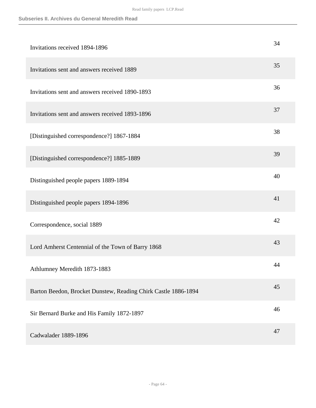## **Subseries II. Archives du General Meredith Read**

| Invitations received 1894-1896                                 | 34 |
|----------------------------------------------------------------|----|
| Invitations sent and answers received 1889                     | 35 |
| Invitations sent and answers received 1890-1893                | 36 |
| Invitations sent and answers received 1893-1896                | 37 |
| [Distinguished correspondence?] 1867-1884                      | 38 |
| [Distinguished correspondence?] 1885-1889                      | 39 |
| Distinguished people papers 1889-1894                          | 40 |
| Distinguished people papers 1894-1896                          | 41 |
| Correspondence, social 1889                                    | 42 |
| Lord Amherst Centennial of the Town of Barry 1868              | 43 |
| Athlumney Meredith 1873-1883                                   | 44 |
| Barton Beedon, Brocket Dunstew, Reading Chirk Castle 1886-1894 | 45 |
| Sir Bernard Burke and His Family 1872-1897                     | 46 |
| Cadwalader 1889-1896                                           | 47 |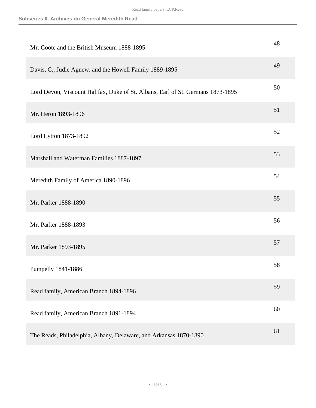| Mr. Coote and the British Museum 1888-1895                                      | 48 |
|---------------------------------------------------------------------------------|----|
| Davis, C., Judic Agnew, and the Howell Family 1889-1895                         | 49 |
| Lord Devon, Viscount Halifax, Duke of St. Albans, Earl of St. Germans 1873-1895 | 50 |
| Mr. Heron 1893-1896                                                             | 51 |
| Lord Lytton 1873-1892                                                           | 52 |
| Marshall and Waterman Families 1887-1897                                        | 53 |
| Meredith Family of America 1890-1896                                            | 54 |
| Mr. Parker 1888-1890                                                            | 55 |
| Mr. Parker 1888-1893                                                            | 56 |
| Mr. Parker 1893-1895                                                            | 57 |
| Pumpelly 1841-1886                                                              | 58 |
| Read family, American Branch 1894-1896                                          | 59 |
| Read family, American Branch 1891-1894                                          | 60 |
| The Reads, Philadelphia, Albany, Delaware, and Arkansas 1870-1890               | 61 |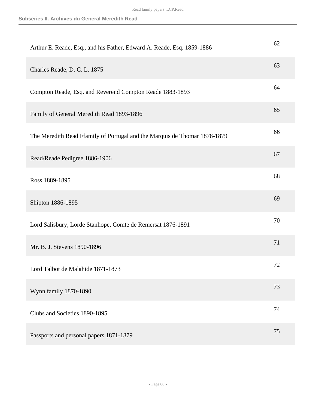| Arthur E. Reade, Esq., and his Father, Edward A. Reade, Esq. 1859-1886    | 62 |
|---------------------------------------------------------------------------|----|
| Charles Reade, D. C. L. 1875                                              | 63 |
| Compton Reade, Esq. and Reverend Compton Reade 1883-1893                  | 64 |
| Family of General Meredith Read 1893-1896                                 | 65 |
| The Meredith Read Ffamily of Portugal and the Marquis de Thomar 1878-1879 | 66 |
| Read/Reade Pedigree 1886-1906                                             | 67 |
| Ross 1889-1895                                                            | 68 |
| Shipton 1886-1895                                                         | 69 |
| Lord Salisbury, Lorde Stanhope, Comte de Remersat 1876-1891               | 70 |
| Mr. B. J. Stevens 1890-1896                                               | 71 |
| Lord Talbot de Malahide 1871-1873                                         | 72 |
| Wynn family 1870-1890                                                     | 73 |
| Clubs and Societies 1890-1895                                             | 74 |
| Passports and personal papers 1871-1879                                   | 75 |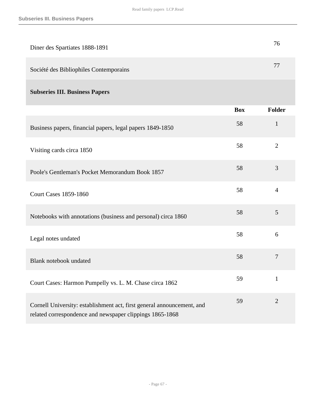| Diner des Spartiates 1888-1891                                |            | 76             |
|---------------------------------------------------------------|------------|----------------|
| Société des Bibliophiles Contemporains                        |            | 77             |
| <b>Subseries III. Business Papers</b>                         |            |                |
|                                                               | <b>Box</b> | Folder         |
| Business papers, financial papers, legal papers 1849-1850     | 58         | $\mathbf{1}$   |
| Visiting cards circa 1850                                     | 58         | $\overline{2}$ |
| Poole's Gentleman's Pocket Memorandum Book 1857               | 58         | 3              |
| <b>Court Cases 1859-1860</b>                                  | 58         | $\overline{4}$ |
| Notebooks with annotations (business and personal) circa 1860 | 58         | 5              |
| Legal notes undated                                           | 58         | 6              |
| <b>Blank notebook undated</b>                                 | 58         | $\overline{7}$ |
| Court Cases: Harmon Pumpelly vs. L. M. Chase circa 1862       | 59         | $\mathbf{1}$   |

Cornell University: establishment act, first general announcement, and related correspondence and newspaper clippings 1865-1868 59 2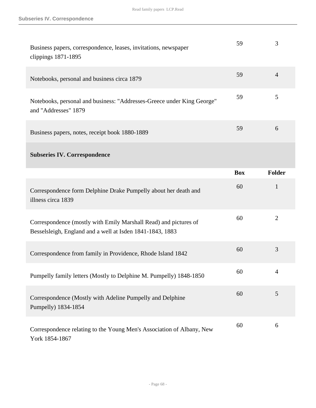| Business papers, correspondence, leases, invitations, newspaper<br>clippings 1871-1895                                        | 59         | 3              |
|-------------------------------------------------------------------------------------------------------------------------------|------------|----------------|
| Notebooks, personal and business circa 1879                                                                                   | 59         | $\overline{4}$ |
| Notebooks, personal and business: "Addresses-Greece under King George"<br>and "Addresses" 1879                                | 59         | 5              |
| Business papers, notes, receipt book 1880-1889                                                                                | 59         | 6              |
| <b>Subseries IV. Correspondence</b>                                                                                           |            |                |
|                                                                                                                               | <b>Box</b> | <b>Folder</b>  |
| Correspondence form Delphine Drake Pumpelly about her death and<br>illness circa 1839                                         | 60         | $\mathbf{1}$   |
| Correspondence (mostly with Emily Marshall Read) and pictures of<br>Besselsleigh, England and a well at Isden 1841-1843, 1883 | 60         | $\overline{2}$ |
| Correspondence from family in Providence, Rhode Island 1842                                                                   | 60         | 3              |
| Pumpelly family letters (Mostly to Delphine M. Pumpelly) 1848-1850                                                            | 60         | 4              |
| Correspondence (Mostly with Adeline Pumpelly and Delphine<br>Pumpelly) 1834-1854                                              | 60         | 5              |
| Correspondence relating to the Young Men's Association of Albany, New<br>York 1854-1867                                       | 60         | 6              |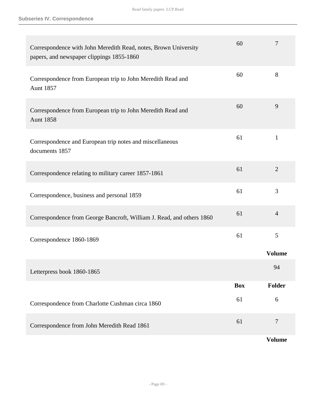| Correspondence with John Meredith Read, notes, Brown University<br>papers, and newspaper clippings 1855-1860 | 60         | 7              |
|--------------------------------------------------------------------------------------------------------------|------------|----------------|
| Correspondence from European trip to John Meredith Read and<br><b>Aunt 1857</b>                              | 60         | 8              |
| Correspondence from European trip to John Meredith Read and<br><b>Aunt 1858</b>                              | 60         | 9              |
| Correspondence and European trip notes and miscellaneous<br>documents 1857                                   | 61         | $\mathbf{1}$   |
| Correspondence relating to military career 1857-1861                                                         | 61         | $\overline{2}$ |
| Correspondence, business and personal 1859                                                                   | 61         | 3              |
| Correspondence from George Bancroft, William J. Read, and others 1860                                        | 61         | $\overline{4}$ |
| Correspondence 1860-1869                                                                                     | 61         | 5              |
|                                                                                                              |            | <b>Volume</b>  |
| Letterpress book 1860-1865                                                                                   |            | 94             |
|                                                                                                              | <b>Box</b> | Folder         |
| Correspondence from Charlotte Cushman circa 1860                                                             | 61         | 6              |
| Correspondence from John Meredith Read 1861                                                                  | 61         | $\tau$         |
|                                                                                                              |            | <b>Volume</b>  |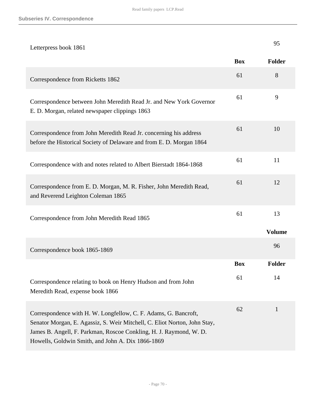| Letterpress book 1861                                                                                                                                                                                                                                                   |            | 95            |
|-------------------------------------------------------------------------------------------------------------------------------------------------------------------------------------------------------------------------------------------------------------------------|------------|---------------|
|                                                                                                                                                                                                                                                                         | <b>Box</b> | Folder        |
| Correspondence from Ricketts 1862                                                                                                                                                                                                                                       | 61         | 8             |
| Correspondence between John Meredith Read Jr. and New York Governor<br>E. D. Morgan, related newspaper clippings 1863                                                                                                                                                   | 61         | 9             |
| Correspondence from John Meredith Read Jr. concerning his address<br>before the Historical Society of Delaware and from E. D. Morgan 1864                                                                                                                               | 61         | 10            |
| Correspondence with and notes related to Albert Bierstadt 1864-1868                                                                                                                                                                                                     | 61         | 11            |
| Correspondence from E. D. Morgan, M. R. Fisher, John Meredith Read,<br>and Reverend Leighton Coleman 1865                                                                                                                                                               | 61         | 12            |
| Correspondence from John Meredith Read 1865                                                                                                                                                                                                                             | 61         | 13            |
|                                                                                                                                                                                                                                                                         |            | <b>Volume</b> |
| Correspondence book 1865-1869                                                                                                                                                                                                                                           |            | 96            |
|                                                                                                                                                                                                                                                                         | <b>Box</b> | <b>Folder</b> |
| Correspondence relating to book on Henry Hudson and from John<br>Meredith Read, expense book 1866                                                                                                                                                                       | 61         | 14            |
| Correspondence with H. W. Longfellow, C. F. Adams, G. Bancroft,<br>Senator Morgan, E. Agassiz, S. Weir Mitchell, C. Eliot Norton, John Stay,<br>James B. Angell, F. Parkman, Roscoe Conkling, H. J. Raymond, W. D.<br>Howells, Goldwin Smith, and John A. Dix 1866-1869 | 62         | $\mathbf{1}$  |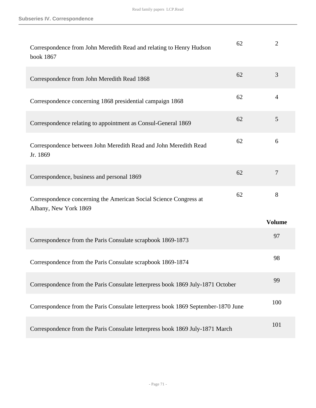| Correspondence from John Meredith Read and relating to Henry Hudson<br>book 1867           | 62 | $\overline{2}$ |
|--------------------------------------------------------------------------------------------|----|----------------|
| Correspondence from John Meredith Read 1868                                                | 62 | 3              |
| Correspondence concerning 1868 presidential campaign 1868                                  | 62 | 4              |
| Correspondence relating to appointment as Consul-General 1869                              | 62 | 5              |
| Correspondence between John Meredith Read and John Meredith Read<br>Jr. 1869               | 62 | 6              |
| Correspondence, business and personal 1869                                                 | 62 | $\overline{7}$ |
| Correspondence concerning the American Social Science Congress at<br>Albany, New York 1869 | 62 | 8              |
|                                                                                            |    | <b>Volume</b>  |
| Correspondence from the Paris Consulate scrapbook 1869-1873                                |    | 97             |
| Correspondence from the Paris Consulate scrapbook 1869-1874                                |    | 98             |
| Correspondence from the Paris Consulate letterpress book 1869 July-1871 October            |    | 99             |
| Correspondence from the Paris Consulate letterpress book 1869 September-1870 June          |    | 100            |
| Correspondence from the Paris Consulate letterpress book 1869 July-1871 March              |    | 101            |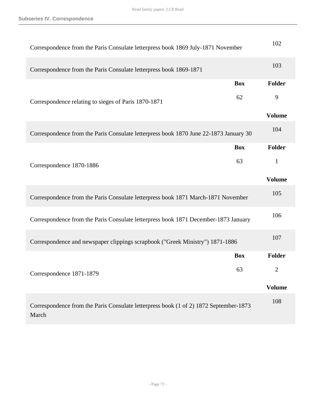| Correspondence from the Paris Consulate letterpress book 1869 July-1871 November               |            | 102                         |
|------------------------------------------------------------------------------------------------|------------|-----------------------------|
| Correspondence from the Paris Consulate letterpress book 1869-1871                             |            | 103                         |
|                                                                                                | <b>Box</b> | Folder                      |
| Correspondence relating to sieges of Paris 1870-1871                                           | 62         | 9                           |
|                                                                                                |            | <b>Volume</b>               |
| Correspondence from the Paris Consulate letterpress book 1870 June 22-1873 January 30          |            | 104                         |
|                                                                                                | <b>Box</b> | <b>Folder</b>               |
| Correspondence 1870-1886                                                                       | 63         | $\mathbf{1}$                |
|                                                                                                |            | <b>Volume</b>               |
| Correspondence from the Paris Consulate letterpress book 1871 March-1871 November              |            | 105                         |
| Correspondence from the Paris Consulate letterpress book 1871 December-1873 January            |            | 106                         |
| Correspondence and newspaper clippings scrapbook ("Greek Ministry") 1871-1886                  |            | 107                         |
|                                                                                                | <b>Box</b> | Folder                      |
| Correspondence 1871-1879                                                                       | 63         | $\mathcal{D}_{\mathcal{L}}$ |
|                                                                                                |            | <b>Volume</b>               |
| Correspondence from the Paris Consulate letterpress book (1 of 2) 1872 September-1873<br>March |            | 108                         |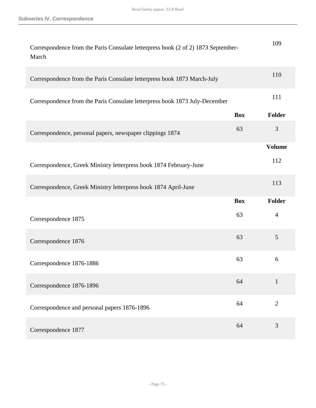| Correspondence from the Paris Consulate letterpress book (2 of 2) 1873 September-<br>March |            | 109            |
|--------------------------------------------------------------------------------------------|------------|----------------|
| Correspondence from the Paris Consulate letterpress book 1873 March-July                   |            | 110            |
| Correspondence from the Paris Consulate letterpress book 1873 July-December                |            | 111            |
|                                                                                            | <b>Box</b> | Folder         |
| Correspondence, personal papers, newspaper clippings 1874                                  | 63         | 3              |
|                                                                                            |            | <b>Volume</b>  |
| Correspondence, Greek Ministry letterpress book 1874 February-June                         |            | 112            |
| Correspondence, Greek Ministry letterpress book 1874 April-June                            |            | 113            |
|                                                                                            | <b>Box</b> | Folder         |
| Correspondence 1875                                                                        | 63         | $\overline{4}$ |
| Correspondence 1876                                                                        | 63         | 5              |
| Correspondence 1876-1886                                                                   | 63         | 6              |
| Correspondence 1876-1896                                                                   | 64         | $\mathbf{1}$   |
| Correspondence and personal papers 1876-1896                                               | 64         | $\overline{2}$ |
| Correspondence 1877                                                                        | 64         | 3              |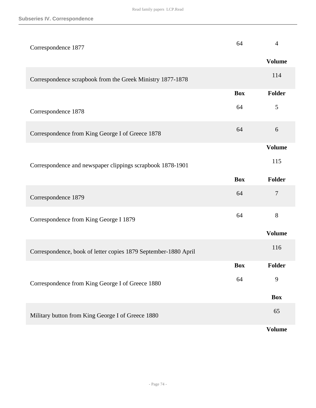| Correspondence 1877                                             | 64         | 4             |
|-----------------------------------------------------------------|------------|---------------|
|                                                                 |            | <b>Volume</b> |
| Correspondence scrapbook from the Greek Ministry 1877-1878      |            | 114           |
|                                                                 | <b>Box</b> | Folder        |
| Correspondence 1878                                             | 64         | 5             |
| Correspondence from King George I of Greece 1878                | 64         | 6             |
|                                                                 |            | <b>Volume</b> |
| Correspondence and newspaper clippings scrapbook 1878-1901      |            | 115           |
|                                                                 | <b>Box</b> | Folder        |
| Correspondence 1879                                             | 64         | 7             |
| Correspondence from King George I 1879                          | 64         | 8             |
|                                                                 |            | <b>Volume</b> |
| Correspondence, book of letter copies 1879 September-1880 April |            | 116           |
|                                                                 | <b>Box</b> | Folder        |
| Correspondence from King George I of Greece 1880                | 64         | 9             |
|                                                                 |            | <b>Box</b>    |
| Military button from King George I of Greece 1880               |            | 65            |
|                                                                 |            | <b>Volume</b> |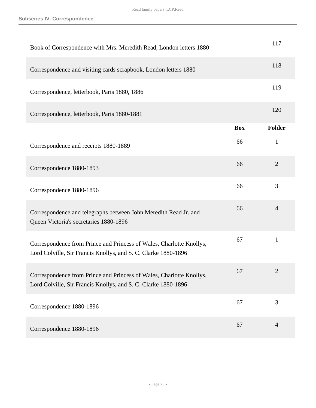| Book of Correspondence with Mrs. Meredith Read, London letters 1880                                                                    |            | 117            |
|----------------------------------------------------------------------------------------------------------------------------------------|------------|----------------|
| Correspondence and visiting cards scrapbook, London letters 1880                                                                       |            | 118            |
| Correspondence, letterbook, Paris 1880, 1886                                                                                           |            | 119            |
| Correspondence, letterbook, Paris 1880-1881                                                                                            |            | 120            |
|                                                                                                                                        | <b>Box</b> | Folder         |
| Correspondence and receipts 1880-1889                                                                                                  | 66         | $\mathbf{1}$   |
| Correspondence 1880-1893                                                                                                               | 66         | $\overline{2}$ |
| Correspondence 1880-1896                                                                                                               | 66         | 3              |
| Correspondence and telegraphs between John Meredith Read Jr. and<br>Queen Victoria's secretaries 1880-1896                             | 66         | $\overline{4}$ |
| Correspondence from Prince and Princess of Wales, Charlotte Knollys,<br>Lord Colville, Sir Francis Knollys, and S. C. Clarke 1880-1896 | 67         | $\mathbf{1}$   |
| Correspondence from Prince and Princess of Wales, Charlotte Knollys,<br>Lord Colville, Sir Francis Knollys, and S. C. Clarke 1880-1896 | 67         | $\mathbf{Z}$   |
| Correspondence 1880-1896                                                                                                               | 67         | 3              |
| Correspondence 1880-1896                                                                                                               | 67         | $\overline{4}$ |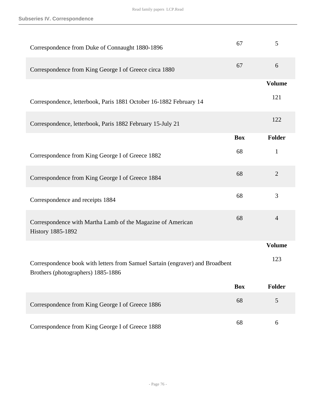| Correspondence from Duke of Connaught 1880-1896                                                                     | 67         | 5              |
|---------------------------------------------------------------------------------------------------------------------|------------|----------------|
| Correspondence from King George I of Greece circa 1880                                                              | 67         | 6              |
|                                                                                                                     |            | <b>Volume</b>  |
| Correspondence, letterbook, Paris 1881 October 16-1882 February 14                                                  |            | 121            |
| Correspondence, letterbook, Paris 1882 February 15-July 21                                                          |            | 122            |
|                                                                                                                     | <b>Box</b> | Folder         |
| Correspondence from King George I of Greece 1882                                                                    | 68         | $\mathbf{1}$   |
| Correspondence from King George I of Greece 1884                                                                    | 68         | $\overline{2}$ |
| Correspondence and receipts 1884                                                                                    | 68         | 3              |
| Correspondence with Martha Lamb of the Magazine of American<br><b>History 1885-1892</b>                             | 68         | $\overline{4}$ |
|                                                                                                                     |            | <b>Volume</b>  |
| Correspondence book with letters from Samuel Sartain (engraver) and Broadbent<br>Brothers (photographers) 1885-1886 |            | 123            |
|                                                                                                                     | <b>Box</b> | Folder         |
| Correspondence from King George I of Greece 1886                                                                    | 68         | 5              |
| Correspondence from King George I of Greece 1888                                                                    | 68         | 6              |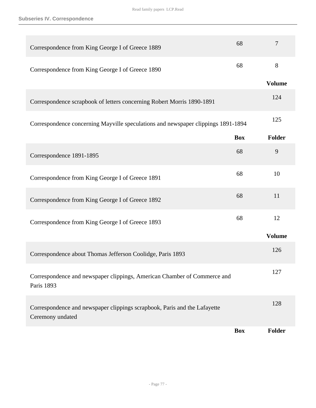| Correspondence from King George I of Greece 1889                                              | 68         | 7             |
|-----------------------------------------------------------------------------------------------|------------|---------------|
| Correspondence from King George I of Greece 1890                                              | 68         | 8             |
|                                                                                               |            | <b>Volume</b> |
| Correspondence scrapbook of letters concerning Robert Morris 1890-1891                        |            | 124           |
| Correspondence concerning Mayville speculations and newspaper clippings 1891-1894             |            | 125           |
|                                                                                               | <b>Box</b> | Folder        |
| Correspondence 1891-1895                                                                      | 68         | 9             |
| Correspondence from King George I of Greece 1891                                              | 68         | 10            |
| Correspondence from King George I of Greece 1892                                              | 68         | 11            |
| Correspondence from King George I of Greece 1893                                              | 68         | 12            |
|                                                                                               |            | <b>Volume</b> |
| Correspondence about Thomas Jefferson Coolidge, Paris 1893                                    |            | 126           |
| Correspondence and newspaper clippings, American Chamber of Commerce and<br>Paris 1893        |            | 127           |
| Correspondence and newspaper clippings scrapbook, Paris and the Lafayette<br>Ceremony undated |            | 128           |
|                                                                                               | <b>Box</b> | Folder        |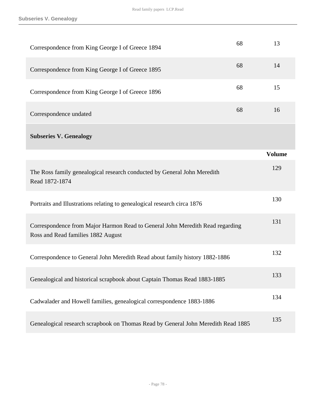**Subseries V. Genealogy**

| Correspondence from King George I of Greece 1894                                                                    | 68 | 13            |
|---------------------------------------------------------------------------------------------------------------------|----|---------------|
| Correspondence from King George I of Greece 1895                                                                    | 68 | 14            |
| Correspondence from King George I of Greece 1896                                                                    | 68 | 15            |
| Correspondence undated                                                                                              | 68 | 16            |
| <b>Subseries V. Genealogy</b>                                                                                       |    |               |
|                                                                                                                     |    | <b>Volume</b> |
| The Ross family genealogical research conducted by General John Meredith<br>Read 1872-1874                          |    | 129           |
| Portraits and Illustrations relating to genealogical research circa 1876                                            |    | 130           |
| Correspondence from Major Harmon Read to General John Meredith Read regarding<br>Ross and Read families 1882 August |    | 131           |
| Correspondence to General John Meredith Read about family history 1882-1886                                         |    | 132           |
| Genealogical and historical scrapbook about Captain Thomas Read 1883-1885                                           |    | 133           |
| Cadwalader and Howell families, genealogical correspondence 1883-1886                                               |    | 134           |
| Genealogical research scrapbook on Thomas Read by General John Meredith Read 1885                                   |    | 135           |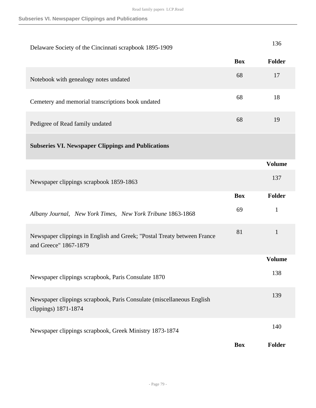| Delaware Society of the Cincinnati scrapbook 1895-1909                                           |            | 136           |
|--------------------------------------------------------------------------------------------------|------------|---------------|
|                                                                                                  | <b>Box</b> | Folder        |
| Notebook with genealogy notes undated                                                            | 68         | 17            |
| Cemetery and memorial transcriptions book undated                                                | 68         | 18            |
| Pedigree of Read family undated                                                                  | 68         | 19            |
| <b>Subseries VI. Newspaper Clippings and Publications</b>                                        |            |               |
|                                                                                                  |            | <b>Volume</b> |
| Newspaper clippings scrapbook 1859-1863                                                          |            | 137           |
|                                                                                                  | <b>Box</b> | <b>Folder</b> |
| Albany Journal, New York Times, New York Tribune 1863-1868                                       | 69         | $\mathbf{1}$  |
|                                                                                                  | 81         |               |
| Newspaper clippings in English and Greek; "Postal Treaty between France<br>and Greece" 1867-1879 |            | $\mathbf{1}$  |
|                                                                                                  |            | <b>Volume</b> |
| Newspaper clippings scrapbook, Paris Consulate 1870                                              |            | 138           |
| Newspaper clippings scrapbook, Paris Consulate (miscellaneous English<br>clippings) 1871-1874    |            | 139           |
| Newspaper clippings scrapbook, Greek Ministry 1873-1874                                          |            | 140           |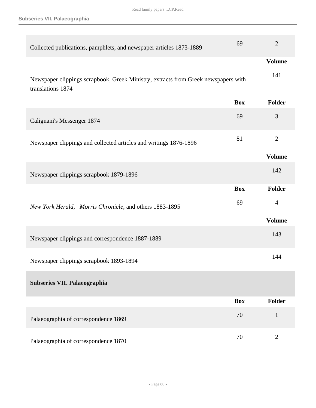**Subseries VII. Palaeographia**

| Collected publications, pamphlets, and newspaper articles 1873-1889                                     | 69         | $\overline{2}$ |
|---------------------------------------------------------------------------------------------------------|------------|----------------|
|                                                                                                         |            | <b>Volume</b>  |
| Newspaper clippings scrapbook, Greek Ministry, extracts from Greek newspapers with<br>translations 1874 |            | 141            |
|                                                                                                         | <b>Box</b> | <b>Folder</b>  |
| Calignani's Messenger 1874                                                                              | 69         | 3              |
| Newspaper clippings and collected articles and writings 1876-1896                                       | 81         | $\overline{2}$ |
|                                                                                                         |            | <b>Volume</b>  |
| Newspaper clippings scrapbook 1879-1896                                                                 |            | 142            |
|                                                                                                         | <b>Box</b> | Folder         |
| New York Herald, Morris Chronicle, and others 1883-1895                                                 | 69         | $\overline{4}$ |
|                                                                                                         |            | <b>Volume</b>  |
| Newspaper clippings and correspondence 1887-1889                                                        |            | 143            |
| Newspaper clippings scrapbook 1893-1894                                                                 |            | 144            |
| Subseries VII. Palaeographia                                                                            |            |                |
|                                                                                                         | <b>Box</b> | <b>Folder</b>  |
| Palaeographia of correspondence 1869                                                                    | 70         | $\mathbf{1}$   |
| Palaeographia of correspondence 1870                                                                    | 70         | $\overline{2}$ |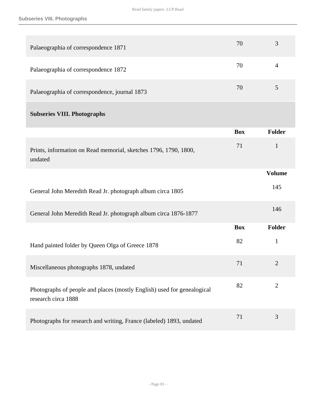| Palaeographia of correspondence 1871                                                           | 70         | 3              |
|------------------------------------------------------------------------------------------------|------------|----------------|
| Palaeographia of correspondence 1872                                                           | 70         | $\overline{4}$ |
| Palaeographia of correspondence, journal 1873                                                  | 70         | 5              |
| <b>Subseries VIII. Photographs</b>                                                             |            |                |
|                                                                                                | <b>Box</b> | Folder         |
| Prints, information on Read memorial, sketches 1796, 1790, 1800,<br>undated                    | 71         | $\mathbf{1}$   |
|                                                                                                |            | <b>Volume</b>  |
| General John Meredith Read Jr. photograph album circa 1805                                     |            | 145            |
| General John Meredith Read Jr. photograph album circa 1876-1877                                |            | 146            |
|                                                                                                | <b>Box</b> | <b>Folder</b>  |
| Hand painted folder by Queen Olga of Greece 1878                                               | 82         | $\mathbf{1}$   |
| Miscellaneous photographs 1878, undated                                                        | 71         | 2              |
| Photographs of people and places (mostly English) used for genealogical<br>research circa 1888 | 82         | $\overline{2}$ |
| Photographs for research and writing, France (labeled) 1893, undated                           | 71         | 3              |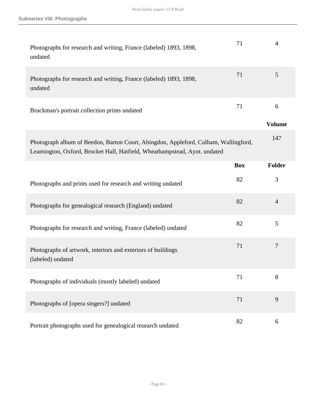| Photographs for research and writing, France (labeled) 1893, 1898,<br>undated                                                                                    | 71         | $\overline{4}$     |
|------------------------------------------------------------------------------------------------------------------------------------------------------------------|------------|--------------------|
| Photographs for research and writing, France (labeled) 1893, 1898,<br>undated                                                                                    | 71         | 5                  |
| Bruckman's portrait collection prints undated                                                                                                                    | 71         | 6<br><b>Volume</b> |
| Photograph album of Beedon, Barton Court, Abingdon, Appleford, Culham, Wallingford,<br>Leamington, Oxford, Brocket Hall, Hatfield, Wheathampstead, Ayot. undated |            | 147                |
|                                                                                                                                                                  | <b>Box</b> | Folder             |
| Photographs and prints used for research and writing undated                                                                                                     | 82         | 3                  |
| Photographs for genealogical research (England) undated                                                                                                          | 82         | $\overline{4}$     |
| Photographs for research and writing, France (labeled) undated                                                                                                   | 82         | 5                  |
| Photographs of artwork, interiors and exteriors of buildings<br>(labeled) undated                                                                                | 71         | $\overline{7}$     |
| Photographs of individuals (mostly labeled) undated                                                                                                              | 71         | 8                  |
| Photographs of [opera singers?] undated                                                                                                                          | 71         | 9                  |
| Portrait photographs used for genealogical research undated                                                                                                      | 82         | 6                  |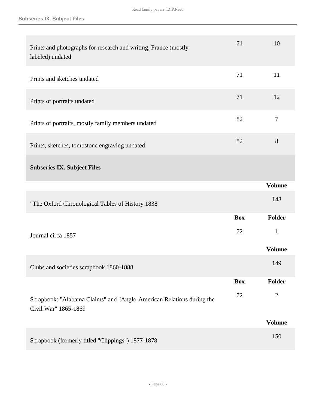| Prints and photographs for research and writing, France (mostly<br>labeled) undated          | 71         | 10             |
|----------------------------------------------------------------------------------------------|------------|----------------|
| Prints and sketches undated                                                                  | 71         | 11             |
| Prints of portraits undated                                                                  | 71         | 12             |
| Prints of portraits, mostly family members undated                                           | 82         | $\overline{7}$ |
| Prints, sketches, tombstone engraving undated                                                | 82         | 8              |
| <b>Subseries IX. Subject Files</b>                                                           |            |                |
|                                                                                              |            | <b>Volume</b>  |
| "The Oxford Chronological Tables of History 1838                                             |            | 148            |
|                                                                                              | <b>Box</b> | <b>Folder</b>  |
| Journal circa 1857                                                                           | 72         | $\mathbf{1}$   |
|                                                                                              |            | <b>Volume</b>  |
| Clubs and societies scrapbook 1860-1888                                                      |            | 149            |
|                                                                                              | <b>Box</b> | <b>Folder</b>  |
| Scrapbook: "Alabama Claims" and "Anglo-American Relations during the<br>Civil War" 1865-1869 | 72         | $\overline{2}$ |
|                                                                                              |            | <b>Volume</b>  |
| Scrapbook (formerly titled "Clippings") 1877-1878                                            |            | 150            |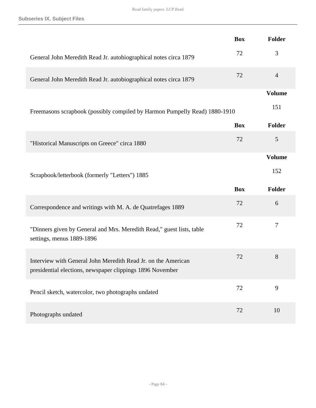|                                                                                                                            | <b>Box</b> | Folder           |
|----------------------------------------------------------------------------------------------------------------------------|------------|------------------|
| General John Meredith Read Jr. autobiographical notes circa 1879                                                           | 72         | 3                |
| General John Meredith Read Jr. autobiographical notes circa 1879                                                           | 72         | $\overline{4}$   |
|                                                                                                                            |            | <b>Volume</b>    |
| Freemasons scrapbook (possibly compiled by Harmon Pumpelly Read) 1880-1910                                                 |            | 151              |
|                                                                                                                            | <b>Box</b> | Folder           |
| "Historical Manuscripts on Greece" circa 1880                                                                              | 72         | 5                |
|                                                                                                                            |            | <b>Volume</b>    |
| Scrapbook/letterbook (formerly "Letters") 1885                                                                             |            | 152              |
|                                                                                                                            | <b>Box</b> | Folder           |
| Correspondence and writings with M. A. de Quatrefages 1889                                                                 | 72         | 6                |
| "Dinners given by General and Mrs. Meredith Read," guest lists, table<br>settings, menus 1889-1896                         | 72         | $\boldsymbol{7}$ |
| Interview with General John Meredith Read Jr. on the American<br>presidential elections, newspaper clippings 1896 November | 72         | 8                |
| Pencil sketch, watercolor, two photographs undated                                                                         | 72         | 9                |
| Photographs undated                                                                                                        | 72         | 10               |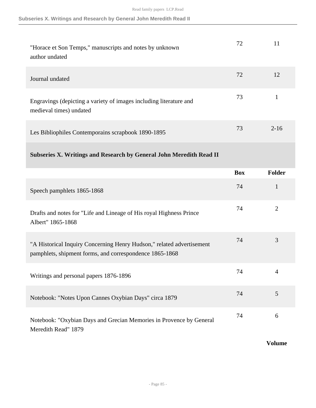| "Horace et Son Temps," manuscripts and notes by unknown<br>author undated                     | 72 | 11       |
|-----------------------------------------------------------------------------------------------|----|----------|
| Journal undated                                                                               | 72 | 12       |
| Engravings (depicting a variety of images including literature and<br>medieval times) undated | 73 |          |
| Les Bibliophiles Contemporains scrapbook 1890-1895                                            | 73 | $2 - 16$ |

## **Subseries X. Writings and Research by General John Meredith Read II**

|                                                                                                                                  | <b>Box</b> | <b>Folder</b>  |
|----------------------------------------------------------------------------------------------------------------------------------|------------|----------------|
| Speech pamphlets 1865-1868                                                                                                       | 74         | 1              |
| Drafts and notes for "Life and Lineage of His royal Highness Prince"<br>Albert" 1865-1868                                        | 74         | $\overline{2}$ |
| "A Historical Inquiry Concerning Henry Hudson," related advertisement<br>pamphlets, shipment forms, and correspondence 1865-1868 | 74         | 3              |
| Writings and personal papers 1876-1896                                                                                           | 74         | $\overline{4}$ |
| Notebook: "Notes Upon Cannes Oxybian Days" circa 1879                                                                            | 74         | 5              |
| Notebook: "Oxybian Days and Grecian Memories in Provence by General<br>Meredith Read" 1879                                       | 74         | 6              |

#### **Volume**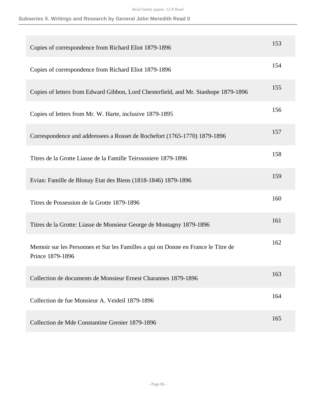| Copies of correspondence from Richard Eliot 1879-1896                                                 | 153 |
|-------------------------------------------------------------------------------------------------------|-----|
| Copies of correspondence from Richard Eliot 1879-1896                                                 | 154 |
| Copies of letters from Edward Gibbon, Lord Chesterfield, and Mr. Stanhope 1879-1896                   | 155 |
| Copies of letters from Mr. W. Harte, inclusive 1879-1895                                              | 156 |
| Correspondence and addressees a Rosset de Rochefort (1765-1770) 1879-1896                             | 157 |
| Titres de la Grotte Liasse de la Famille Teirssoniere 1879-1896                                       | 158 |
| Evian: Famille de Blonay Etat des Biens (1818-1846) 1879-1896                                         | 159 |
| Titres de Possession de la Grotte 1879-1896                                                           | 160 |
| Titres de la Grotte: Liasse de Monsieur George de Montagny 1879-1896                                  | 161 |
| Memoir sur les Personnes et Sur les Familles a qui on Donne en France le Titre de<br>Prince 1879-1896 | 162 |
| Collection de documents de Monsieur Ernest Charannes 1879-1896                                        | 163 |
| Collection de fue Monsieur A. Veideil 1879-1896                                                       | 164 |
| Collection de Mde Constantine Grenier 1879-1896                                                       | 165 |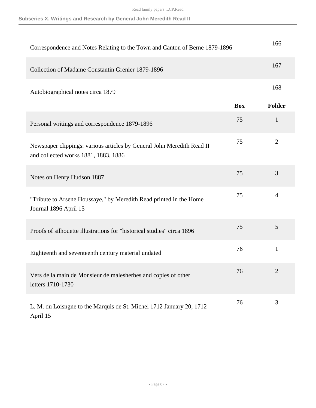Read family papers LCP.Read

| Correspondence and Notes Relating to the Town and Canton of Berne 1879-1896                                    |            | 166            |
|----------------------------------------------------------------------------------------------------------------|------------|----------------|
| Collection of Madame Constantin Grenier 1879-1896                                                              |            | 167            |
| Autobiographical notes circa 1879                                                                              |            | 168            |
|                                                                                                                | <b>Box</b> | <b>Folder</b>  |
| Personal writings and correspondence 1879-1896                                                                 | 75         | $\mathbf{1}$   |
| Newspaper clippings: various articles by General John Meredith Read II<br>and collected works 1881, 1883, 1886 | 75         | $\overline{2}$ |
| Notes on Henry Hudson 1887                                                                                     | 75         | 3              |
| "Tribute to Arsene Houssaye," by Meredith Read printed in the Home<br>Journal 1896 April 15                    | 75         | $\overline{4}$ |
| Proofs of silhouette illustrations for "historical studies" circa 1896                                         | 75         | 5              |
| Eighteenth and seventeenth century material undated                                                            | 76         | $\mathbf{1}$   |
| Vers de la main de Monsieur de malesherbes and copies of other<br>letters 1710-1730                            | 76         |                |
| L. M. du Loisngne to the Marquis de St. Michel 1712 January 20, 1712<br>April 15                               | 76         | 3              |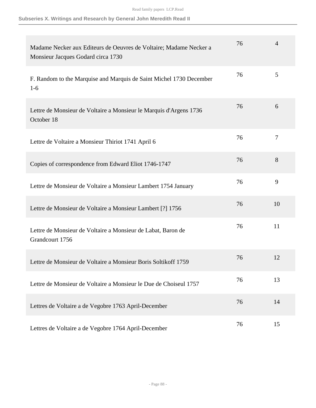| Madame Necker aux Editeurs de Oeuvres de Voltaire; Madame Necker a<br>Monsieur Jacques Godard circa 1730 | 76 | 4  |
|----------------------------------------------------------------------------------------------------------|----|----|
| F. Random to the Marquise and Marquis de Saint Michel 1730 December<br>$1-6$                             | 76 | 5  |
| Lettre de Monsieur de Voltaire a Monsieur le Marquis d'Argens 1736<br>October 18                         | 76 | 6  |
| Lettre de Voltaire a Monsieur Thiriot 1741 April 6                                                       | 76 | 7  |
| Copies of correspondence from Edward Eliot 1746-1747                                                     | 76 | 8  |
| Lettre de Monsieur de Voltaire a Monsieur Lambert 1754 January                                           | 76 | 9  |
| Lettre de Monsieur de Voltaire a Monsieur Lambert [?] 1756                                               | 76 | 10 |
| Lettre de Monsieur de Voltaire a Monsieur de Labat, Baron de<br>Grandcourt 1756                          | 76 | 11 |
| Lettre de Monsieur de Voltaire a Monsieur Boris Soltikoff 1759                                           | 76 | 12 |
| Lettre de Monsieur de Voltaire a Monsieur le Due de Choiseul 1757                                        | 76 | 13 |
| Lettres de Voltaire a de Vegobre 1763 April-December                                                     | 76 | 14 |
| Lettres de Voltaire a de Vegobre 1764 April-December                                                     | 76 | 15 |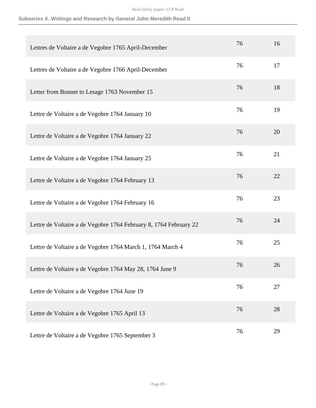| Lettres de Voltaire a de Vegobre 1765 April-December              | 76 | 16 |
|-------------------------------------------------------------------|----|----|
| Lettres de Voltaire a de Vegobre 1766 April-December              | 76 | 17 |
| Letter from Bonnet to Lesage 1763 November 15                     | 76 | 18 |
| Lettre de Voltaire a de Vegobre 1764 January 10                   | 76 | 19 |
| Lettre de Voltaire a de Vegobre 1764 January 22                   | 76 | 20 |
| Lettre de Voltaire a de Vegobre 1764 January 25                   | 76 | 21 |
| Lettre de Voltaire a de Vegobre 1764 February 13                  | 76 | 22 |
| Lettre de Voltaire a de Vegobre 1764 February 16                  | 76 | 23 |
| Lettre de Voltaire a de Vegobre 1764 February 8, 1764 February 22 | 76 | 24 |
| Lettre de Voltaire a de Vegobre 1764 March 1, 1764 March 4        | 76 | 25 |
| Lettre de Voltaire a de Vegobre 1764 May 28, 1764 June 9          | 76 | 26 |
| Lettre de Voltaire a de Vegobre 1764 June 19                      | 76 | 27 |
| Lettre de Voltaire a de Vegobre 1765 April 13                     | 76 | 28 |
| Lettre de Voltaire a de Vegobre 1765 September 3                  | 76 | 29 |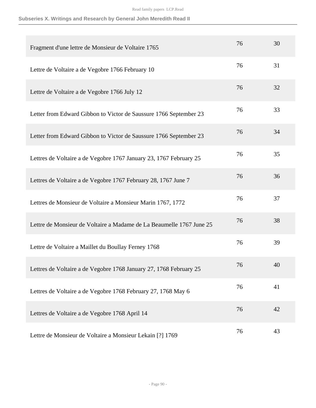| Fragment d'une lettre de Monsieur de Voltaire 1765                   | 76 | 30 |
|----------------------------------------------------------------------|----|----|
| Lettre de Voltaire a de Vegobre 1766 February 10                     | 76 | 31 |
| Lettre de Voltaire a de Vegobre 1766 July 12                         | 76 | 32 |
| Letter from Edward Gibbon to Victor de Saussure 1766 September 23    | 76 | 33 |
| Letter from Edward Gibbon to Victor de Saussure 1766 September 23    | 76 | 34 |
| Lettres de Voltaire a de Vegobre 1767 January 23, 1767 February 25   | 76 | 35 |
| Lettres de Voltaire a de Vegobre 1767 February 28, 1767 June 7       | 76 | 36 |
| Lettres de Monsieur de Voltaire a Monsieur Marin 1767, 1772          | 76 | 37 |
| Lettre de Monsieur de Voltaire a Madame de La Beaumelle 1767 June 25 | 76 | 38 |
| Lettre de Voltaire a Maillet du Boullay Ferney 1768                  | 76 | 39 |
| Lettres de Voltaire a de Vegobre 1768 January 27, 1768 February 25   | 76 | 40 |
| Lettres de Voltaire a de Vegobre 1768 February 27, 1768 May 6        | 76 | 41 |
| Lettres de Voltaire a de Vegobre 1768 April 14                       | 76 | 42 |
| Lettre de Monsieur de Voltaire a Monsieur Lekain [?] 1769            | 76 | 43 |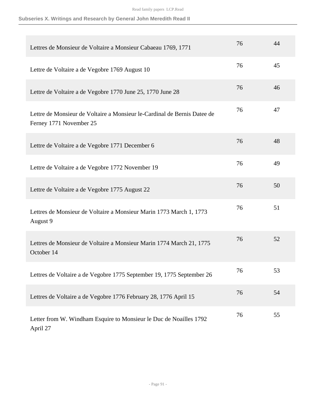| Lettres de Monsieur de Voltaire a Monsieur Cabaeau 1769, 1771                                       | 76 | 44 |
|-----------------------------------------------------------------------------------------------------|----|----|
| Lettre de Voltaire a de Vegobre 1769 August 10                                                      | 76 | 45 |
| Lettre de Voltaire a de Vegobre 1770 June 25, 1770 June 28                                          | 76 | 46 |
| Lettre de Monsieur de Voltaire a Monsieur le-Cardinal de Bernis Datee de<br>Ferney 1771 November 25 | 76 | 47 |
| Lettre de Voltaire a de Vegobre 1771 December 6                                                     | 76 | 48 |
| Lettre de Voltaire a de Vegobre 1772 November 19                                                    | 76 | 49 |
| Lettre de Voltaire a de Vegobre 1775 August 22                                                      | 76 | 50 |
| Lettres de Monsieur de Voltaire a Monsieur Marin 1773 March 1, 1773<br>August 9                     | 76 | 51 |
| Lettres de Monsieur de Voltaire a Monsieur Marin 1774 March 21, 1775<br>October 14                  | 76 | 52 |
| Lettres de Voltaire a de Vegobre 1775 September 19, 1775 September 26                               | 76 | 53 |
| Lettres de Voltaire a de Vegobre 1776 February 28, 1776 April 15                                    | 76 | 54 |
| Letter from W. Windham Esquire to Monsieur le Duc de Noailles 1792<br>April 27                      | 76 | 55 |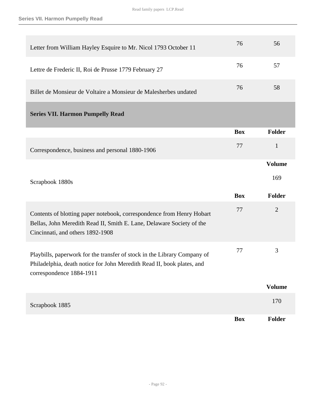| Letter from William Hayley Esquire to Mr. Nicol 1793 October 11                                                                                                                    | 76         | 56             |
|------------------------------------------------------------------------------------------------------------------------------------------------------------------------------------|------------|----------------|
| Lettre de Frederic II, Roi de Prusse 1779 February 27                                                                                                                              | 76         | 57             |
| Billet de Monsieur de Voltaire a Monsieur de Malesherbes undated                                                                                                                   | 76         | 58             |
| <b>Series VII. Harmon Pumpelly Read</b>                                                                                                                                            |            |                |
|                                                                                                                                                                                    | <b>Box</b> | Folder         |
| Correspondence, business and personal 1880-1906                                                                                                                                    | 77         | $\mathbf{1}$   |
|                                                                                                                                                                                    |            | <b>Volume</b>  |
| Scrapbook 1880s                                                                                                                                                                    |            | 169            |
|                                                                                                                                                                                    | <b>Box</b> | <b>Folder</b>  |
| Contents of blotting paper notebook, correspondence from Henry Hobart<br>Bellas, John Meredith Read II, Smith E. Lane, Delaware Society of the<br>Cincinnati, and others 1892-1908 | 77         | $\overline{2}$ |
| Playbills, paperwork for the transfer of stock in the Library Company of<br>Philadelphia, death notice for John Meredith Read II, book plates, and<br>correspondence 1884-1911     | 77         | 3              |
|                                                                                                                                                                                    |            |                |
|                                                                                                                                                                                    |            | <b>Volume</b>  |
| Scrapbook 1885                                                                                                                                                                     |            | 170            |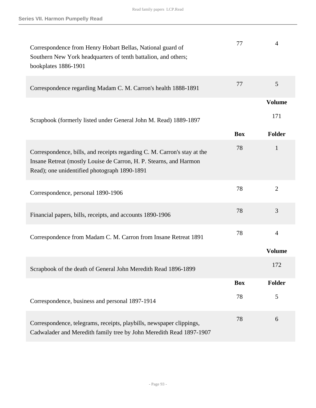| Correspondence from Henry Hobart Bellas, National guard of<br>Southern New York headquarters of tenth battalion, and others;<br>bookplates 1886-1901                                           | 77         | $\overline{4}$ |
|------------------------------------------------------------------------------------------------------------------------------------------------------------------------------------------------|------------|----------------|
| Correspondence regarding Madam C. M. Carron's health 1888-1891                                                                                                                                 | 77         | 5              |
|                                                                                                                                                                                                |            | <b>Volume</b>  |
| Scrapbook (formerly listed under General John M. Read) 1889-1897                                                                                                                               |            | 171            |
|                                                                                                                                                                                                | <b>Box</b> | <b>Folder</b>  |
| Correspondence, bills, and receipts regarding C. M. Carron's stay at the<br>Insane Retreat (mostly Louise de Carron, H. P. Stearns, and Harmon<br>Read); one unidentified photograph 1890-1891 | 78         | $\mathbf{1}$   |
| Correspondence, personal 1890-1906                                                                                                                                                             | 78         | $\overline{2}$ |
| Financial papers, bills, receipts, and accounts 1890-1906                                                                                                                                      | 78         | 3              |
| Correspondence from Madam C. M. Carron from Insane Retreat 1891                                                                                                                                | 78         | $\overline{4}$ |
|                                                                                                                                                                                                |            | <b>Volume</b>  |
| Scrapbook of the death of General John Meredith Read 1896-1899                                                                                                                                 |            | 172            |
|                                                                                                                                                                                                | <b>Box</b> | <b>Folder</b>  |
| Correspondence, business and personal 1897-1914                                                                                                                                                | 78         | 5              |
| Correspondence, telegrams, receipts, playbills, newspaper clippings,<br>Cadwalader and Meredith family tree by John Meredith Read 1897-1907                                                    | 78         | 6              |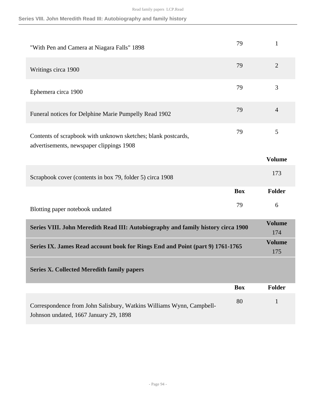|  |  | Series VIII. John Meredith Read III: Autobiography and family history |  |  |
|--|--|-----------------------------------------------------------------------|--|--|
|  |  |                                                                       |  |  |

| "With Pen and Camera at Niagara Falls" 1898                                                               | 79         | 1                    |
|-----------------------------------------------------------------------------------------------------------|------------|----------------------|
| Writings circa 1900                                                                                       | 79         | $\overline{2}$       |
| Ephemera circa 1900                                                                                       | 79         | 3                    |
| Funeral notices for Delphine Marie Pumpelly Read 1902                                                     | 79         | $\overline{4}$       |
| Contents of scrapbook with unknown sketches; blank postcards,<br>advertisements, newspaper clippings 1908 | 79         | 5                    |
|                                                                                                           |            | <b>Volume</b>        |
| Scrapbook cover (contents in box 79, folder 5) circa 1908                                                 |            | 173                  |
|                                                                                                           | <b>Box</b> | Folder               |
| Blotting paper notebook undated                                                                           | 79         | 6                    |
|                                                                                                           |            |                      |
| Series VIII. John Meredith Read III: Autobiography and family history circa 1900                          |            | <b>Volume</b><br>174 |
| Series IX. James Read account book for Rings End and Point (part 9) 1761-1765                             |            | <b>Volume</b><br>175 |
| <b>Series X. Collected Meredith family papers</b>                                                         |            |                      |
|                                                                                                           | <b>Box</b> | Folder               |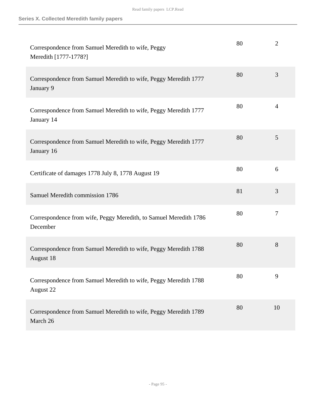| Correspondence from Samuel Meredith to wife, Peggy<br>Meredith [1777-1778?]    | 80 | $\overline{2}$ |
|--------------------------------------------------------------------------------|----|----------------|
| Correspondence from Samuel Meredith to wife, Peggy Meredith 1777<br>January 9  | 80 | 3              |
| Correspondence from Samuel Meredith to wife, Peggy Meredith 1777<br>January 14 | 80 | $\overline{4}$ |
| Correspondence from Samuel Meredith to wife, Peggy Meredith 1777<br>January 16 | 80 | 5              |
| Certificate of damages 1778 July 8, 1778 August 19                             | 80 | 6              |
| Samuel Meredith commission 1786                                                | 81 | 3              |
| Correspondence from wife, Peggy Meredith, to Samuel Meredith 1786<br>December  | 80 | $\overline{7}$ |
| Correspondence from Samuel Meredith to wife, Peggy Meredith 1788<br>August 18  | 80 | 8              |
| Correspondence from Samuel Meredith to wife, Peggy Meredith 1788<br>August 22  | 80 | 9              |
| Correspondence from Samuel Meredith to wife, Peggy Meredith 1789<br>March 26   | 80 | 10             |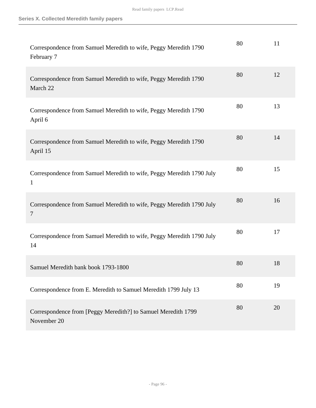| Correspondence from Samuel Meredith to wife, Peggy Meredith 1790<br>February 7 | 80 | 11 |
|--------------------------------------------------------------------------------|----|----|
| Correspondence from Samuel Meredith to wife, Peggy Meredith 1790<br>March 22   | 80 | 12 |
| Correspondence from Samuel Meredith to wife, Peggy Meredith 1790<br>April 6    | 80 | 13 |
| Correspondence from Samuel Meredith to wife, Peggy Meredith 1790<br>April 15   | 80 | 14 |
| Correspondence from Samuel Meredith to wife, Peggy Meredith 1790 July<br>1     | 80 | 15 |
| Correspondence from Samuel Meredith to wife, Peggy Meredith 1790 July<br>7     | 80 | 16 |
| Correspondence from Samuel Meredith to wife, Peggy Meredith 1790 July<br>14    | 80 | 17 |
| Samuel Meredith bank book 1793-1800                                            | 80 | 18 |
| Correspondence from E. Meredith to Samuel Meredith 1799 July 13                | 80 | 19 |
| Correspondence from [Peggy Meredith?] to Samuel Meredith 1799<br>November 20   | 80 | 20 |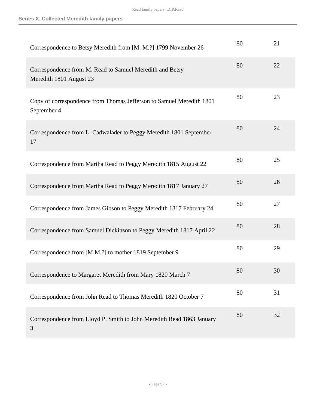| Correspondence to Betsy Meredith from [M. M.?] 1799 November 26                     | 80 | 21 |
|-------------------------------------------------------------------------------------|----|----|
| Correspondence from M. Read to Samuel Meredith and Betsy<br>Meredith 1801 August 23 | 80 | 22 |
| Copy of correspondence from Thomas Jefferson to Samuel Meredith 1801<br>September 4 | 80 | 23 |
| Correspondence from L. Cadwalader to Peggy Meredith 1801 September<br>17            | 80 | 24 |
| Correspondence from Martha Read to Peggy Meredith 1815 August 22                    | 80 | 25 |
| Correspondence from Martha Read to Peggy Meredith 1817 January 27                   | 80 | 26 |
| Correspondence from James Gibson to Peggy Meredith 1817 February 24                 | 80 | 27 |
| Correspondence from Samuel Dickinson to Peggy Meredith 1817 April 22                | 80 | 28 |
| Correspondence from [M.M.?] to mother 1819 September 9                              | 80 | 29 |
| Correspondence to Margaret Meredith from Mary 1820 March 7                          | 80 | 30 |
| Correspondence from John Read to Thomas Meredith 1820 October 7                     | 80 | 31 |
| Correspondence from Lloyd P. Smith to John Meredith Read 1863 January<br>3          | 80 | 32 |